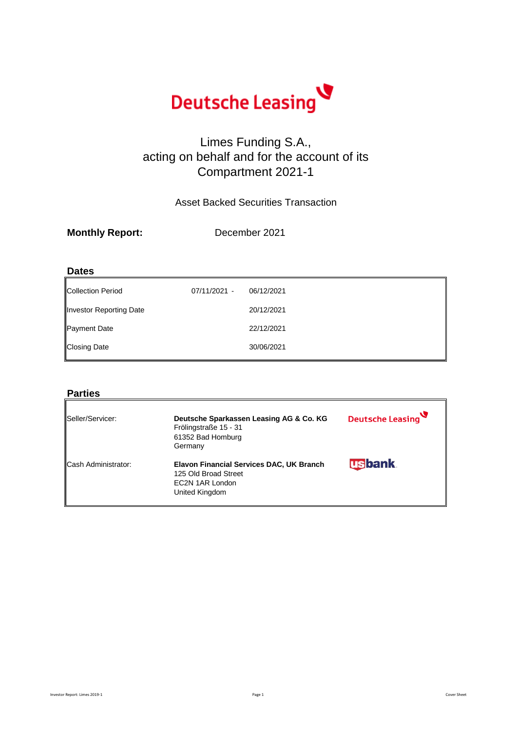

## Limes Funding S.A., acting on behalf and for the account of its Compartment 2021-1

Asset Backed Securities Transaction

### **Dates**

| Collection Period       | 07/11/2021 - | 06/12/2021 |
|-------------------------|--------------|------------|
| Investor Reporting Date |              | 20/12/2021 |
| <b>Payment Date</b>     |              | 22/12/2021 |
| <b>Closing Date</b>     |              | 30/06/2021 |
|                         |              |            |

### **Parties**

| Seller/Servicer:    | Deutsche Sparkassen Leasing AG & Co. KG<br>Frölingstraße 15 - 31<br>61352 Bad Homburg<br>Germany      | Deutsche Leasing |
|---------------------|-------------------------------------------------------------------------------------------------------|------------------|
| Cash Administrator: | Elavon Financial Services DAC, UK Branch<br>125 Old Broad Street<br>EC2N 1AR London<br>United Kingdom | <b>usbank</b>    |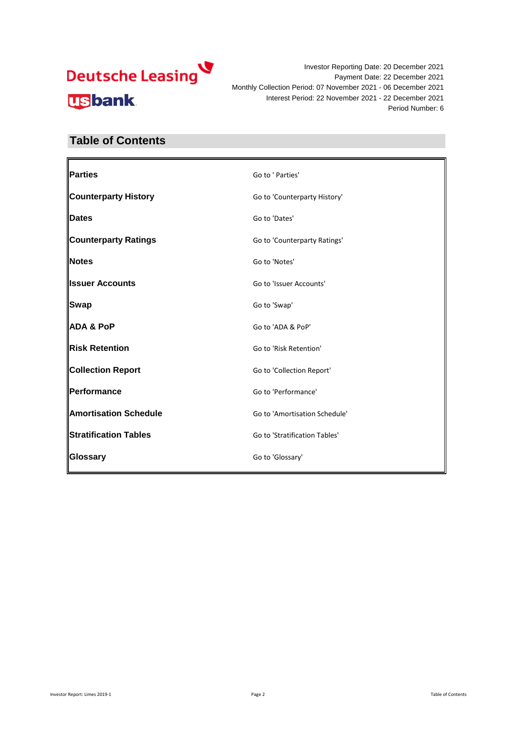

### **Table of Contents**

| Go to ' Parties'              |
|-------------------------------|
| Go to 'Counterparty History'  |
| Go to 'Dates'                 |
| Go to 'Counterparty Ratings'  |
| Go to 'Notes'                 |
| Go to 'Issuer Accounts'       |
| Go to 'Swap'                  |
| Go to 'ADA & PoP'             |
| Go to 'Risk Retention'        |
| Go to 'Collection Report'     |
| Go to 'Performance'           |
| Go to 'Amortisation Schedule' |
| Go to 'Stratification Tables' |
| Go to 'Glossary'              |
|                               |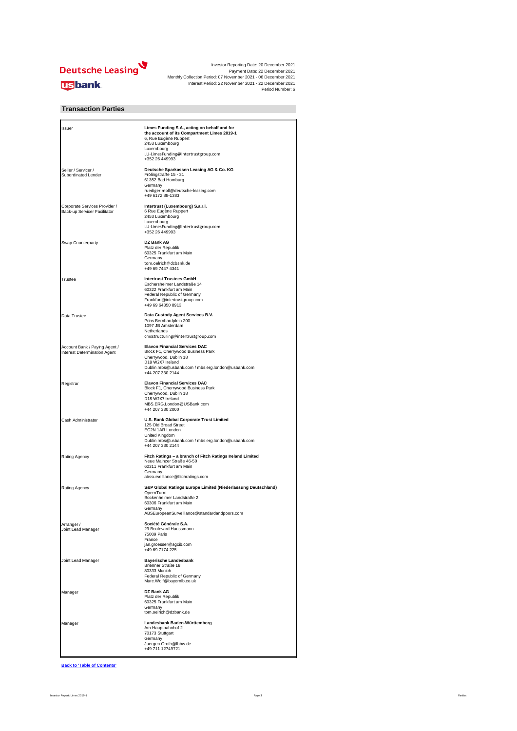

### **Transaction Parties**

| Issuer                                                        | Limes Funding S.A., acting on behalf and for<br>the account of its Compartment Limes 2019-1<br>6, Rue Eugène Ruppert<br>2453 Luxembourg<br>Luxembourg<br>LU-LimesFunding@Intertrustgroup.com<br>+352 26 449993 |
|---------------------------------------------------------------|----------------------------------------------------------------------------------------------------------------------------------------------------------------------------------------------------------------|
| Seller / Servicer /<br>Subordinated Lender                    | Deutsche Sparkassen Leasing AG & Co. KG<br>Frölingstraße 15 - 31<br>61352 Bad Homburg<br>Germany<br>ruediger.moll@deutsche-leasing.com<br>+49 6172 88-1383                                                     |
| Corporate Services Provider /<br>Back-up Servicer Facilitator | Intertrust (Luxembourg) S.a.r.l.<br>6 Rue Eugène Ruppert<br>2453 Luxembourg<br>Luxembourg<br>LU-LimesFunding@Intertrustgroup.com<br>+352 26 449993                                                             |
| Swap Counterparty                                             | DZ Bank AG<br>Platz der Republik<br>60325 Frankfurt am Main<br>Germany<br>tom.oelrich@dzbank.de<br>+49 69 7447 4341                                                                                            |
| Trustee                                                       | <b>Intertrust Trustees GmbH</b><br>Eschersheimer Landstraße 14<br>60322 Frankfurt am Main<br>Federal Republic of Germany<br>Frankfurt@intertrustgroup.com<br>+49 69 64350 8913                                 |
| Data Trustee                                                  | Data Custody Agent Services B.V.<br>Prins Bernhardplein 200<br>1097 JB Amsterdam<br>Netherlands<br>cmsstructuring@intertrustgroup.com                                                                          |
| Account Bank / Paying Agent /<br>Interest Determination Agent | <b>Elavon Financial Services DAC</b><br>Block F1, Cherrywood Business Park<br>Cherrywood, Dublin 18<br>D18 W2X7 Ireland<br>Dublin.mbs@usbank.com / mbs.erg.london@usbank.com<br>+44 207 330 2144               |
| Registrar                                                     | <b>Elavon Financial Services DAC</b><br>Block F1, Cherrywood Business Park<br>Cherrywood, Dublin 18<br>D18 W2X7 Ireland<br>MBS.ERG.London@USBank.com<br>+44 207 330 2000                                       |
| Cash Administrator                                            | U.S. Bank Global Corporate Trust Limited<br>125 Old Broad Street<br>EC2N 1AR London<br>United Kingdom<br>Dublin.mbs@usbank.com / mbs.erg.london@usbank.com<br>+44 207 330 2144                                 |
| Rating Agency                                                 | Fitch Ratings - a branch of Fitch Ratings Ireland Limited<br>Neue Mainzer Straße 46-50<br>60311 Frankfurt am Main<br>Germany<br>abssurveillance@fitchratings.com                                               |
| Rating Agency                                                 | S&P Global Ratings Europe Limited (Niederlassung Deutschland)<br>OpernTurm<br>Bockenheimer Landstraße 2<br>60306 Frankfurt am Main<br>Germany<br>ABSEuropeanSurveillance@standardandpoors.com                  |
| Arranger /<br>Joint Lead Manager                              | Société Générale S.A.<br>29 Boulevard Haussmann<br>75009 Paris<br>France<br>jan.groesser@sgcib.com<br>+49 69 7174 225                                                                                          |
| Joint Lead Manager                                            | <b>Bayerische Landesbank</b><br>Brienner Straße 18<br>80333 Munich<br>Federal Republic of Germany<br>Marc.Wolf@bayernlb.co.uk                                                                                  |
| Manager                                                       | DZ Bank AG<br>Platz der Republik<br>60325 Frankfurt am Main<br>Germany<br>tom.oelrich@dzbank.de                                                                                                                |
| Manager                                                       | Landesbank Baden-Württemberg<br>Am Hauptbahnhof 2<br>70173 Stuttgart<br>Germany<br>Juergen.Groth@lbbw.de<br>+49 711 12749721                                                                                   |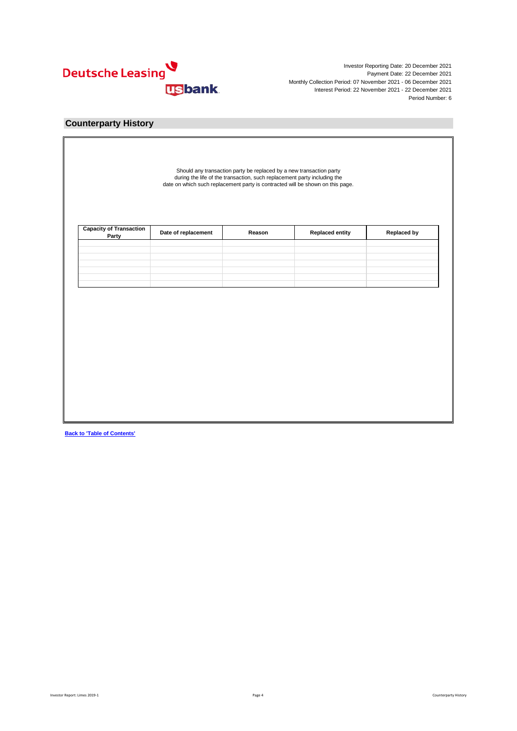

### **Counterparty History**

| Party |  |
|-------|--|
|       |  |
|       |  |
|       |  |
|       |  |
|       |  |
|       |  |
|       |  |
|       |  |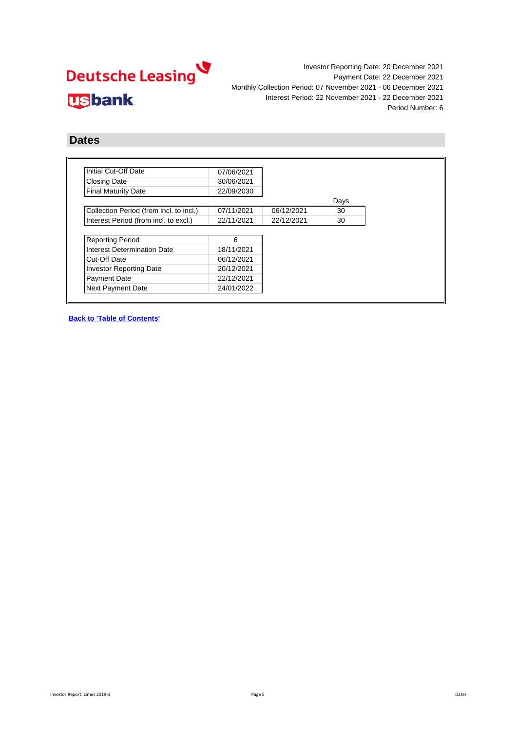

### **Dates**

| Initial Cut-Off Date                    | 07/06/2021 |            |      |
|-----------------------------------------|------------|------------|------|
| <b>Closing Date</b>                     | 30/06/2021 |            |      |
| <b>Final Maturity Date</b>              | 22/09/2030 |            |      |
|                                         |            |            | Days |
| Collection Period (from incl. to incl.) | 07/11/2021 | 06/12/2021 | 30   |
| Interest Period (from incl. to excl.)   | 22/11/2021 | 22/12/2021 | 30   |
|                                         |            |            |      |
| <b>Reporting Period</b>                 | 6          |            |      |
| Interest Determination Date             | 18/11/2021 |            |      |
| Cut-Off Date                            | 06/12/2021 |            |      |
| Investor Reporting Date                 | 20/12/2021 |            |      |
|                                         | 22/12/2021 |            |      |
| <b>Payment Date</b>                     |            |            |      |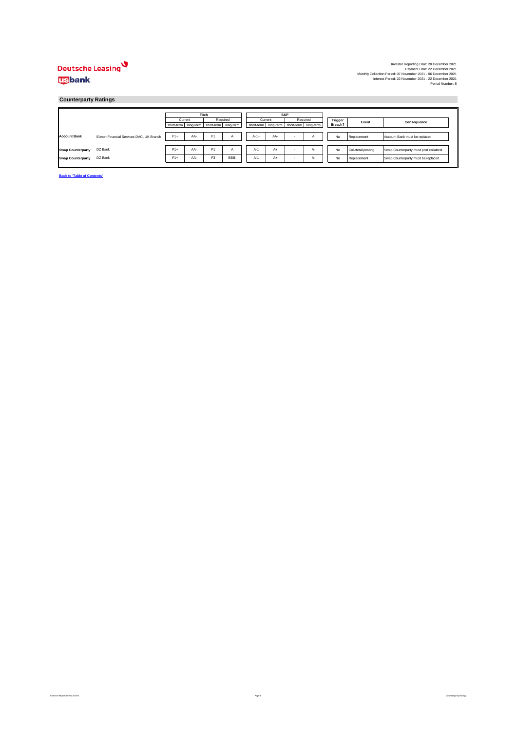### Deutsche Leasing **usbank**

### **Counterparty Ratings**

|                          |                                          |                                           |     | Fitch          |               |         | <b>S&amp;P</b> |                                           |          |         |                    |                                        |
|--------------------------|------------------------------------------|-------------------------------------------|-----|----------------|---------------|---------|----------------|-------------------------------------------|----------|---------|--------------------|----------------------------------------|
|                          |                                          | Current                                   |     |                | Required      | Current |                |                                           | Required | Trigger | Event              | Consequence                            |
|                          |                                          | short-term long-term short-term long-term |     |                |               |         |                | short-term long-term short-term long-term |          | Breach? |                    |                                        |
|                          |                                          |                                           |     |                |               |         |                |                                           |          |         |                    |                                        |
| <b>Account Bank</b>      | Elavon Financial Services DAC, UK Branch | $F1+$                                     | AA- | F <sub>1</sub> | $\mathcal{A}$ | $A-1+$  | AA-            |                                           | n        | No      | Replacement        | Account Bank must be replaced          |
|                          |                                          |                                           |     |                |               |         |                |                                           |          |         |                    |                                        |
| <b>Swap Counterparty</b> | DZ Bank                                  | $F1+$                                     | AA- | F <sub>1</sub> | $\mathsf{A}$  | $A-1$   | $A+$           | ٠                                         | А-       | No      | Collateral posting | Swap Counterparty must post collateral |
| <b>Swap Counterparty</b> | DZ Bank                                  | $F1+$                                     | AA- | F <sub>3</sub> | BBB-          | $A-1$   | $A+$           |                                           | $A-$     | No      | Replacement        | Swap Counterparty must be replaced     |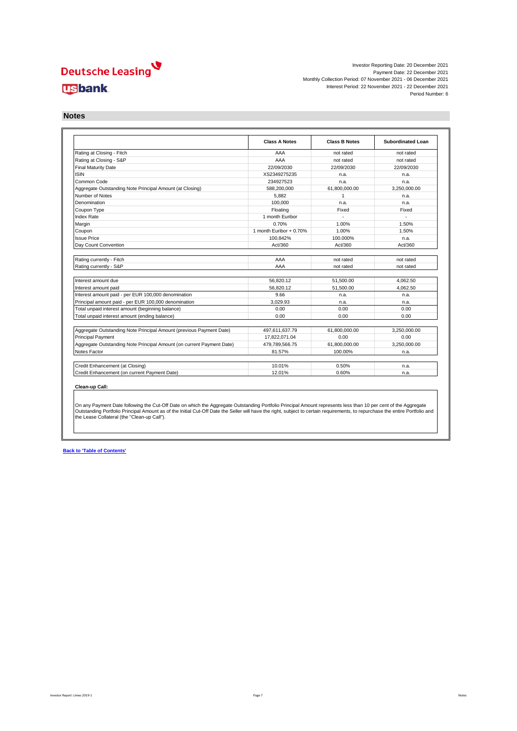## Deutsche Leasing **usbank**

Investor Reporting Date: 20 December 2021 Payment Date: 22 December 2021 Monthly Collection Period: 07 November 2021 - 06 December 2021 Interest Period: 22 November 2021 - 22 December 2021 Period Number: 6

**Notes**

|                                                                       | <b>Class A Notes</b>    | <b>Class B Notes</b> | <b>Subordinated Loan</b> |
|-----------------------------------------------------------------------|-------------------------|----------------------|--------------------------|
| Rating at Closing - Fitch                                             | AAA                     | not rated            | not rated                |
| Rating at Closing - S&P                                               | AAA                     | not rated            | not rated                |
| <b>Final Maturity Date</b>                                            | 22/09/2030              | 22/09/2030           | 22/09/2030               |
| ISIN                                                                  | XS2349275235            | n.a.                 | n.a.                     |
| Common Code                                                           | 234927523               | n.a.                 | n.a.                     |
| Aggregate Outstanding Note Principal Amount (at Closing)              | 588.200.000             | 61.800.000.00        | 3.250.000.00             |
| Number of Notes                                                       | 5.882                   | $\overline{1}$       | n.a.                     |
| Denomination                                                          | 100.000                 | n.a.                 | n.a.                     |
| Coupon Type                                                           | Floating                | Fixed                | Fixed                    |
| <b>Index Rate</b>                                                     | 1 month Euribor         |                      |                          |
| Margin                                                                | 0.70%                   | 1.00%                | 1.50%                    |
| Coupon                                                                | 1 month Euribor + 0.70% | 1.00%                | 1.50%                    |
| <b>Issue Price</b>                                                    | 100.842%                | 100.000%             | n.a.                     |
| Day Count Convention                                                  | Act/360                 | Act/360              | Act/360                  |
|                                                                       |                         |                      |                          |
| Rating currently - Fitch                                              | AAA                     | not rated            | not rated                |
| Rating currently - S&P                                                | AAA                     | not rated            | not rated                |
|                                                                       |                         |                      |                          |
| Interest amount due                                                   | 56.820.12               | 51.500.00            | 4.062.50                 |
| Interest amount paid                                                  | 56.820.12               | 51.500.00            | 4.062.50                 |
| Interest amount paid - per EUR 100,000 denomination                   | 9.66                    | n.a.                 | n.a.                     |
|                                                                       | 3.029.93                | n.a.                 | n.a.                     |
| Principal amount paid - per EUR 100,000 denomination                  |                         |                      |                          |
| Total unpaid interest amount (beginning balance)                      | 0.00                    | 0.00                 | 0.00                     |
|                                                                       | 0.00                    | 0.00                 | 0.00                     |
| Total unpaid interest amount (ending balance)                         |                         |                      |                          |
| Aggregate Outstanding Note Principal Amount (previous Payment Date)   | 497.611.637.79          | 61.800.000.00        | 3.250.000.00             |
| <b>Principal Payment</b>                                              | 17.822.071.04           | 0.00                 | 0.00                     |
| Aggregate Outstanding Note Principal Amount (on current Payment Date) | 479.789.566.75          | 61.800.000.00        | 3.250.000.00             |
|                                                                       | 81.57%                  | 100.00%              | n.a.                     |
| Notes Factor<br>Credit Enhancement (at Closing)                       | 10.01%                  | 0.50%                | n.a.                     |

On any Payment Date following the Cut-Off Date on which the Aggregate Outstanding Portfolio Principal Amount represents less than 10 per cent of the Aggregate<br>Outstanding Portfolio Principal Amount as of the Initial Cut-O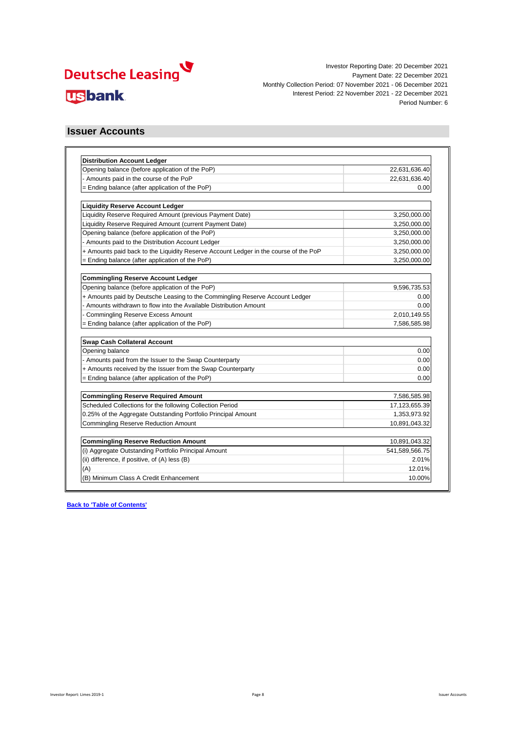

### **Issuer Accounts**

| <b>Distribution Account Ledger</b>                                                   |                  |
|--------------------------------------------------------------------------------------|------------------|
| Opening balance (before application of the PoP)                                      | 22,631,636.40    |
| - Amounts paid in the course of the PoP                                              | 22,631,636.40    |
| = Ending balance (after application of the PoP)                                      | 0.00             |
| <b>Liquidity Reserve Account Ledger</b>                                              |                  |
| Liquidity Reserve Required Amount (previous Payment Date)                            | 3,250,000.00     |
| Liquidity Reserve Required Amount (current Payment Date)                             | 3,250,000.00     |
| Opening balance (before application of the PoP)                                      | 3,250,000.00     |
| - Amounts paid to the Distribution Account Ledger                                    | 3,250,000.00     |
| + Amounts paid back to the Liquidity Reserve Account Ledger in the course of the PoP | 3,250,000.00     |
| = Ending balance (after application of the PoP)                                      | 3,250,000.00     |
|                                                                                      |                  |
| <b>Commingling Reserve Account Ledger</b>                                            |                  |
| Opening balance (before application of the PoP)                                      | 9,596,735.53     |
| + Amounts paid by Deutsche Leasing to the Commingling Reserve Account Ledger         | 0.00             |
| - Amounts withdrawn to flow into the Available Distribution Amount                   | 0.00             |
| <b>Commingling Reserve Excess Amount</b>                                             | 2,010,149.55     |
| = Ending balance (after application of the PoP)                                      | 7,586,585.98     |
| Swap Cash Collateral Account                                                         |                  |
| Opening balance                                                                      | 0.00             |
| - Amounts paid from the Issuer to the Swap Counterparty                              | 0.00             |
| + Amounts received by the Issuer from the Swap Counterparty                          | 0.00             |
| = Ending balance (after application of the PoP)                                      | 0.00             |
|                                                                                      |                  |
| <b>Commingling Reserve Required Amount</b>                                           | 7,586,585.98     |
| Scheduled Collections for the following Collection Period                            | 17, 123, 655. 39 |
| 0.25% of the Aggregate Outstanding Portfolio Principal Amount                        | 1,353,973.92     |
| <b>Commingling Reserve Reduction Amount</b>                                          | 10,891,043.32    |
| <b>Commingling Reserve Reduction Amount</b>                                          | 10,891,043.32    |
| (i) Aggregate Outstanding Portfolio Principal Amount                                 | 541,589,566.75   |
| (ii) difference, if positive, of (A) less (B)                                        | 2.01%            |
| (A)                                                                                  | 12.01%           |
| (B) Minimum Class A Credit Enhancement                                               | 10.00%           |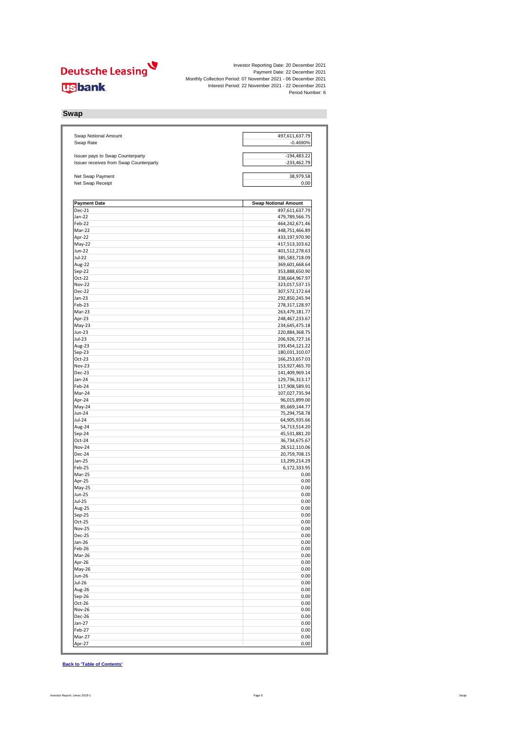

### **Swap**

| Swap Notional Amount<br>Swap Rate      | 497,611,637.79<br>$-0.4690%$     |  |  |  |
|----------------------------------------|----------------------------------|--|--|--|
| Issuer pays to Swap Counterparty       | $-194,483.22$                    |  |  |  |
| Issuer receives from Swap Counterparty | $-233,462.79$                    |  |  |  |
| Net Swap Payment<br>Net Swap Receipt   | 38,979.58<br>0.00                |  |  |  |
|                                        |                                  |  |  |  |
| <b>Payment Date</b>                    | <b>Swap Notional Amount</b>      |  |  |  |
| <b>Dec-21</b>                          | 497,611,637.79                   |  |  |  |
| Jan-22                                 | 479,789,566.75                   |  |  |  |
| Feb-22                                 | 464,242,671.46                   |  |  |  |
| Mar-22                                 | 448,751,466.89                   |  |  |  |
| Apr-22                                 | 433,197,970.90                   |  |  |  |
| May-22                                 | 417,513,103.62                   |  |  |  |
| Jun-22                                 | 401,512,278.63                   |  |  |  |
| Jul-22                                 | 385,583,718.09                   |  |  |  |
| Aug-22<br>Sep-22                       | 369,601,668.64<br>353,888,650.90 |  |  |  |
| Oct-22                                 | 338,664,967.97                   |  |  |  |
| <b>Nov-22</b>                          | 323,017,537.15                   |  |  |  |
| <b>Dec-22</b>                          | 307,572,172.64                   |  |  |  |
| Jan-23                                 | 292,850,245.94                   |  |  |  |
| Feb-23                                 | 278,317,128.97                   |  |  |  |
| Mar-23                                 | 263,479,181.77                   |  |  |  |
| Apr-23                                 | 248,467,233.67                   |  |  |  |
| $May-23$                               | 234,645,475.18                   |  |  |  |
| Jun-23                                 | 220,884,368.75                   |  |  |  |
| $Jul-23$                               | 206,926,727.16                   |  |  |  |
| Aug-23                                 | 193,454,121.22                   |  |  |  |
| Sep-23                                 | 180,031,310.07                   |  |  |  |
| Oct-23                                 | 166,253,657.03                   |  |  |  |
| Nov-23                                 | 153,927,465.70                   |  |  |  |
| <b>Dec-23</b>                          | 141,409,969.14                   |  |  |  |
| Jan-24                                 | 129,736,313.17                   |  |  |  |
| Feb-24                                 | 117,908,589.91                   |  |  |  |
| Mar-24                                 | 107,027,735.94                   |  |  |  |
| Apr-24<br>May-24                       | 96,015,899.00<br>85,669,144.77   |  |  |  |
| Jun-24                                 | 75,294,758.78                    |  |  |  |
| Jul-24                                 | 64,905,935.66                    |  |  |  |
| Aug-24                                 | 54,713,514.20                    |  |  |  |
| Sep-24                                 | 45,531,881.20                    |  |  |  |
| Oct-24                                 | 36,734,675.67                    |  |  |  |
| <b>Nov-24</b>                          | 28,512,110.06                    |  |  |  |
| Dec-24                                 | 20,759,708.15                    |  |  |  |
| Jan-25                                 | 13,299,214.29                    |  |  |  |
| Feb-25                                 | 6,172,333.95                     |  |  |  |
| Mar-25                                 | 0.00                             |  |  |  |
| Apr-25                                 | 0.00                             |  |  |  |
| May-25                                 | 0.00                             |  |  |  |
| <b>Jun-25</b>                          | 0.00                             |  |  |  |
| Jul-25                                 | 0.00                             |  |  |  |
| Aug-25                                 | 0.00                             |  |  |  |
| Sep-25<br>$Oct-25$                     | 0.00<br>0.00                     |  |  |  |
| <b>Nov-25</b>                          | 0.00                             |  |  |  |
| Dec-25                                 | 0.00                             |  |  |  |
| $Jan-26$                               | 0.00                             |  |  |  |
| Feb-26                                 | 0.00                             |  |  |  |
| Mar-26                                 | 0.00                             |  |  |  |
| Apr-26                                 | 0.00                             |  |  |  |
| May-26                                 | 0.00                             |  |  |  |
| Jun-26                                 | 0.00                             |  |  |  |
| Jul-26                                 | 0.00                             |  |  |  |
| Aug-26                                 | 0.00                             |  |  |  |
| $Sep-26$                               | 0.00                             |  |  |  |
| Oct-26                                 | 0.00                             |  |  |  |
| <b>Nov-26</b>                          | 0.00                             |  |  |  |
| Dec-26                                 | 0.00                             |  |  |  |
| $Jan-27$                               | 0.00                             |  |  |  |
| Feb-27                                 | 0.00                             |  |  |  |
| Mar-27                                 | 0.00                             |  |  |  |
| Apr-27                                 | 0.00                             |  |  |  |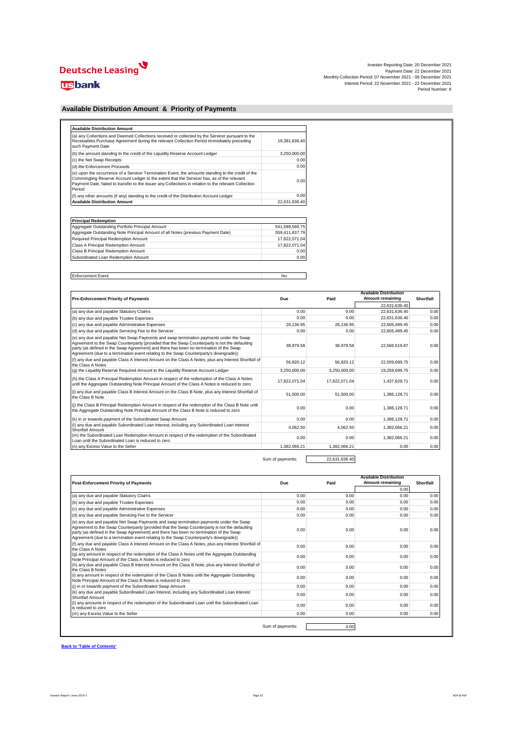# Deutsche Leasing

### **usbank**

Investor Reporting Date: 20 December 2021<br>Payment Date: 22 December 2021<br>Interest Period: 07 November 2021 - 06 December 2021<br>Interest Period: 22 November 2021 - 22 December 2021<br>Period Number: 6

### **Available Distribution Amount & Priority of Payments**

| (a) any Collections and Deemed Collections received or collected by the Servicer pursuant to the<br>Receivables Purchase Agreement during the relevant Collection Period immediately preceding<br>such Payment Date                                                                                                 | 19.381.636.40 |
|---------------------------------------------------------------------------------------------------------------------------------------------------------------------------------------------------------------------------------------------------------------------------------------------------------------------|---------------|
| (b) the amount standing to the credit of the Liquidity Reserve Account Ledger                                                                                                                                                                                                                                       | 3.250.000.00  |
| (c) the Net Swap Receipts                                                                                                                                                                                                                                                                                           | 0.00          |
| (d) the Enforcement Proceeds                                                                                                                                                                                                                                                                                        | 0.00          |
| (e) upon the occurrence of a Servicer Termination Event, the amounts standing to the credit of the<br>Commingling Reserve Account Ledger to the extent that the Servicer has, as of the relevant<br>Payment Date, failed to transfer to the Issuer any Collections in relation to the relevant Collection<br>Period | 0.00          |
| (f) any other amounts (if any) standing to the credit of the Distribution Account Ledger                                                                                                                                                                                                                            | 0.00          |
| <b>Available Distribution Amount</b>                                                                                                                                                                                                                                                                                | 22,631,636.40 |

| <b>Principal Redemption</b>                                                      |                |
|----------------------------------------------------------------------------------|----------------|
| Aggregate Outstanding Portfolio Principal Amount                                 | 541.589.566.75 |
| Aggregate Outstanding Note Principal Amount of all Notes (previous Payment Date) | 559.411.637.79 |
| Required Principal Redemption Amount                                             | 17.822.071.04  |
| Class A Principal Redemption Amount                                              | 17.822.071.04  |
| Class B Principal Redemption Amount                                              | 0.00           |
| Subordinated Loan Redemption Amount                                              | 0.00           |

Enforcement Event No

| <b>Pre-Enforcement Priority of Payments</b>                                                                                                                                                                                                                                                                                                                                 | Due           | Paid          | <b>Available Distribution</b><br>Amount remaining | Shortfall |
|-----------------------------------------------------------------------------------------------------------------------------------------------------------------------------------------------------------------------------------------------------------------------------------------------------------------------------------------------------------------------------|---------------|---------------|---------------------------------------------------|-----------|
|                                                                                                                                                                                                                                                                                                                                                                             |               |               | 22.631.636.40                                     |           |
| (a) any due and payable Statutory Claims                                                                                                                                                                                                                                                                                                                                    | 0.00          | 0.00          | 22.631.636.40                                     | 0.00      |
| (b) any due and payable Trustee Expenses                                                                                                                                                                                                                                                                                                                                    | 0.00          | 0.00          | 22.631.636.40                                     | 0.00      |
| (c) any due and payable Administrative Expenses                                                                                                                                                                                                                                                                                                                             | 26.136.95     | 26.136.95     | 22.605.499.45                                     | 0.00      |
| (d) any due and payable Servicing Fee to the Servicer                                                                                                                                                                                                                                                                                                                       | 0.00          | 0.00          | 22.605.499.45                                     | 0.00      |
| (e) any due and payable Net Swap Payments and swap termination payments under the Swap<br>Agreement to the Swap Counterparty (provided that the Swap Counterparty is not the defaulting<br>party (as defined in the Swap Agreement) and there has been no termination of the Swap<br>Agreement (due to a termination event relating to the Swap Counterparty's downgrade)); | 38.979.58     | 38.979.58     | 22.566.519.87                                     | 0.00      |
| (f) any due and payable Class A Interest Amount on the Class A Notes, plus any Interest Shortfall of<br>the Class A Notes                                                                                                                                                                                                                                                   | 56.820.12     | 56.820.12     | 22.509.699.75                                     | 0.00      |
| (g) the Liquidity Reserve Required Amount to the Liquidity Reserve Account Ledger                                                                                                                                                                                                                                                                                           | 3.250.000.00  | 3.250.000.00  | 19.259.699.75                                     | 0.00      |
| (h) the Class A Principal Redemption Amount in respect of the redemption of the Class A Notes<br>until the Aggregate Outstanding Note Principal Amount of the Class A Notes is reduced to zero                                                                                                                                                                              | 17.822.071.04 | 17.822.071.04 | 1.437.628.71                                      | 0.00      |
| (i) any due and payable Class B Interest Amount on the Class B Note, plus any Interest Shortfall of<br>the Class B Note                                                                                                                                                                                                                                                     | 51.500.00     | 51.500.00     | 1.386.128.71                                      | 0.00      |
| (i) the Class B Principal Redemption Amount in respect of the redemption of the Class B Note until<br>the Aggregate Outstanding Note Principal Amount of the Class B Note is reduced to zero                                                                                                                                                                                | 0.00          | 0.00          | 1.386.128.71                                      | 0.00      |
| (k) in or towards payment of the Subordinated Swap Amount                                                                                                                                                                                                                                                                                                                   | 0.00          | 0.00          | 1,386,128.71                                      | 0.00      |
| (I) any due and payable Subordinated Loan Interest, including any Subordinated Loan Interest<br>Shortfall Amount                                                                                                                                                                                                                                                            | 4.062.50      | 4.062.50      | 1,382,066.21                                      | 0.00      |
| (m) the Subordinated Loan Redemption Amount in respect of the redemption of the Subordinated<br>Loan until the Subordinated Loan is reduced to zero                                                                                                                                                                                                                         | 0.00          | 0.00          | 1.382.066.21                                      | 0.00      |
| (n) any Excess Value to the Seller                                                                                                                                                                                                                                                                                                                                          | 1.382.066.21  | 1.382.066.21  | 0.00                                              | 0.00      |

Sum of payments: 22,631,636.40

| <b>Post-Enforcement Priority of Payments</b>                                                                                                                                                                                                                                                                                                                               | Due  | Paid | <b>Available Distribution</b><br>Amount remaining | Shortfall |
|----------------------------------------------------------------------------------------------------------------------------------------------------------------------------------------------------------------------------------------------------------------------------------------------------------------------------------------------------------------------------|------|------|---------------------------------------------------|-----------|
|                                                                                                                                                                                                                                                                                                                                                                            |      |      | 0.00                                              |           |
| (a) any due and payable Statutory Claims                                                                                                                                                                                                                                                                                                                                   | 0.00 | 0.00 | 0.00                                              | 0.00      |
| (b) any due and payable Trustee Expenses                                                                                                                                                                                                                                                                                                                                   | 0.00 | 0.00 | 0.00                                              | 0.00      |
| (c) any due and payable Administrative Expenses                                                                                                                                                                                                                                                                                                                            | 0.00 | 0.00 | 0.00                                              | 0.00      |
| (d) any due and payable Servicing Fee to the Servicer                                                                                                                                                                                                                                                                                                                      | 0.00 | 0.00 | 0.00                                              | 0.00      |
| (e) any due and payable Net Swap Payments and swap termination payments under the Swap<br>Agreement to the Swap Counterparty (provided that the Swap Counterparty is not the defaulting<br>party (as defined in the Swap Agreement) and there has been no termination of the Swap<br>Agreement (due to a termination event relating to the Swap Counterparty's downgrade)) | 0.00 | 0.00 | 0.00                                              | 0.00      |
| (f) any due and payable Class A Interest Amount on the Class A Notes, plus any Interest Shortfall of<br>the Class A Notes                                                                                                                                                                                                                                                  | 0.00 | 0.00 | 0.00                                              | 0.00      |
| (q) any amount in respect of the redemption of the Class A Notes until the Aggregate Outstanding<br>Note Principal Amount of the Class A Notes is reduced to zero                                                                                                                                                                                                          | 0.00 | 0.00 | 0.00                                              | 0.00      |
| (h) any due and payable Class B Interest Amount on the Class B Note, plus any Interest Shortfall of<br>the Class B Notes                                                                                                                                                                                                                                                   | 0.00 | 0.00 | 0.00                                              | 0.00      |
| (i) any amount in respect of the redemption of the Class B Notes until the Aggregate Outstanding<br>Note Principal Amount of the Class B Notes is reduced to zero                                                                                                                                                                                                          | 0.00 | 0.00 | 0.00                                              | 0.00      |
| (i) in or towards payment of the Subordinated Swap Amount                                                                                                                                                                                                                                                                                                                  | 0.00 | 0.00 | 0.00                                              | 0.00      |
| (k) any due and payable Subordinated Loan Interest, including any Subordinated Loan Interest<br>Shortfall Amount                                                                                                                                                                                                                                                           | 0.00 | 0.00 | 0.00                                              | 0.00      |
| (I) any amounts in respect of the redemption of the Subordinated Loan until the Subordinated Loan<br>is reduced to zero                                                                                                                                                                                                                                                    | 0.00 | 0.00 | 0.00                                              | 0.00      |
| (m) any Excess Value to the Seller                                                                                                                                                                                                                                                                                                                                         | 0.00 | 0.00 | 0.00                                              | 0.00      |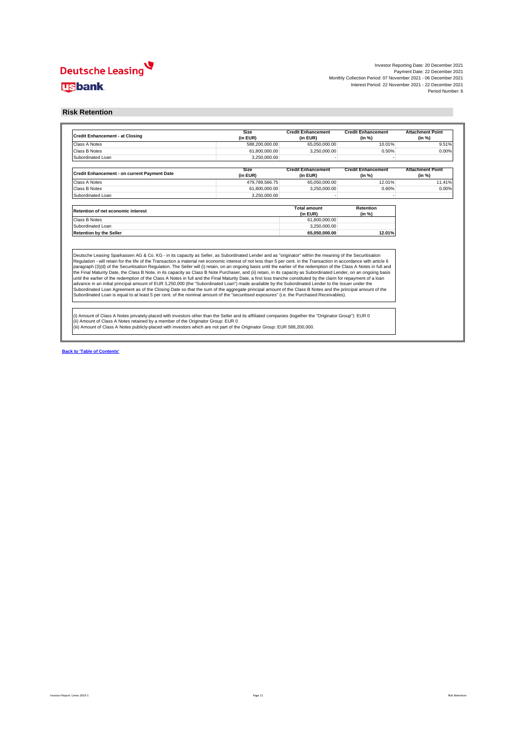## Deutsche Leasing **Usbank**

Investor Reporting Date: 20 December 2021<br>Payment Date: 22 December 2021<br>Interest Period: 07 November 2021 - 06 December 2021<br>Interest Period: 22 November 2021 - 22 December 2021<br>Period Number: 6

### **Risk Retention**

| <b>Credit Enhancement - at Closing</b>                                                                                                                                                                                                                                                                                                                                                                                                                                                                                                                                                                                                                                              | <b>Size</b><br>(in EUR) | <b>Credit Enhancement</b><br>(in EUR) | <b>Credit Enhancement</b><br>(in %) | <b>Attachment Point</b><br>(in %) |
|-------------------------------------------------------------------------------------------------------------------------------------------------------------------------------------------------------------------------------------------------------------------------------------------------------------------------------------------------------------------------------------------------------------------------------------------------------------------------------------------------------------------------------------------------------------------------------------------------------------------------------------------------------------------------------------|-------------------------|---------------------------------------|-------------------------------------|-----------------------------------|
| Class A Notes                                                                                                                                                                                                                                                                                                                                                                                                                                                                                                                                                                                                                                                                       | 588.200.000.00          | 65,050,000.00                         | 10.01%                              | 9.51%                             |
| Class B Notes                                                                                                                                                                                                                                                                                                                                                                                                                                                                                                                                                                                                                                                                       | 61.800.000.00           | 3.250.000.00                          | 0.50%                               | 0.00%                             |
| Subordinated Loan                                                                                                                                                                                                                                                                                                                                                                                                                                                                                                                                                                                                                                                                   | 3.250.000.00            |                                       |                                     |                                   |
| Credit Enhancement - on current Payment Date                                                                                                                                                                                                                                                                                                                                                                                                                                                                                                                                                                                                                                        | <b>Size</b><br>(in EUR) | <b>Credit Enhancement</b><br>(in EUR) | <b>Credit Enhancement</b><br>(in %) | <b>Attachment Point</b><br>(in %) |
| Class A Notes                                                                                                                                                                                                                                                                                                                                                                                                                                                                                                                                                                                                                                                                       | 479.789.566.75          | 65,050,000.00                         | 12.01%                              | 11.41%                            |
| Class B Notes                                                                                                                                                                                                                                                                                                                                                                                                                                                                                                                                                                                                                                                                       | 61.800.000.00           | 3.250.000.00                          | 0.60%                               | 0.00%                             |
| Subordinated Loan                                                                                                                                                                                                                                                                                                                                                                                                                                                                                                                                                                                                                                                                   | 3.250.000.00            |                                       |                                     |                                   |
| <b>Retention of net economic interest</b>                                                                                                                                                                                                                                                                                                                                                                                                                                                                                                                                                                                                                                           |                         | <b>Total amount</b><br>(in EUR)       | Retention<br>(in %)                 |                                   |
| Class B Notes                                                                                                                                                                                                                                                                                                                                                                                                                                                                                                                                                                                                                                                                       |                         | 61,800,000.00                         |                                     |                                   |
| Subordinated Loan                                                                                                                                                                                                                                                                                                                                                                                                                                                                                                                                                                                                                                                                   |                         | 3.250.000.00                          |                                     |                                   |
| <b>Retention by the Seller</b>                                                                                                                                                                                                                                                                                                                                                                                                                                                                                                                                                                                                                                                      |                         | 65.050.000.00                         | 12.01%                              |                                   |
| Deutsche Leasing Sparkassen AG & Co. KG - in its capacity as Seller, as Subordinated Lender and as "originator" within the meaning of the Securitisation<br>Regulation - will retain for the life of the Transaction a material net economic interest of not less than 5 per cent. in the Transaction in accordance with article 6<br>paragraph (3)(d) of the Securitisation Regulation. The Seller will (i) retain, on an ongoing basis until the earlier of the redemption of the Class A Notes in full and<br>the Final Maturity Date, the Class B Note, in its capacity as Class B Note Purchaser, and (ii) retain, in its capacity as Subordinated Lender, on an ongoing basis |                         |                                       |                                     |                                   |
| until the earlier of the redemption of the Class A Notes in full and the Final Maturity Date, a first loss tranche constituted by the claim for repayment of a loan<br>advance in an initial principal amount of EUR 3,250,000 (the "Subordinated Loan") made available by the Subordinated Lender to the Issuer under the<br>Subordinated Loan Agreement as of the Closing Date so that the sum of the aggregate principal amount of the Class B Notes and the principal amount of the<br>Subordinated Loan is equal to at least 5 per cent. of the nominal amount of the "securitised exposures" (i.e. the Purchased Receivables).                                                |                         |                                       |                                     |                                   |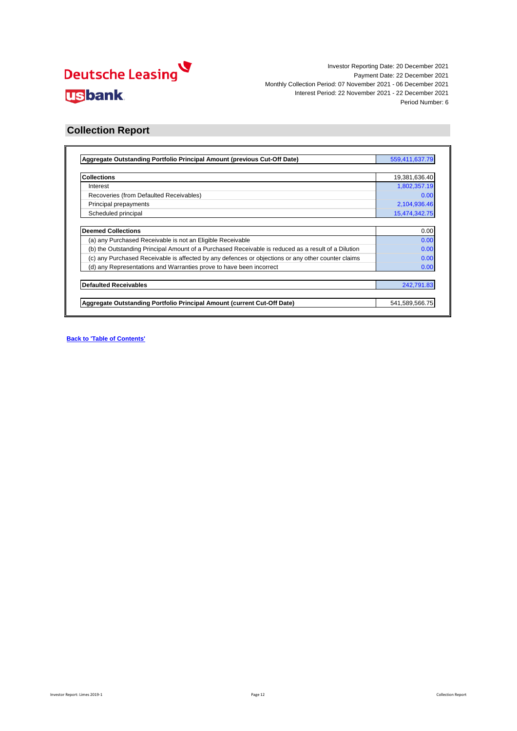

### **Collection Report**

| Aggregate Outstanding Portfolio Principal Amount (previous Cut-Off Date)                            | 559,411,637.79 |
|-----------------------------------------------------------------------------------------------------|----------------|
|                                                                                                     |                |
| <b>Collections</b>                                                                                  | 19,381,636.40  |
| Interest                                                                                            | 1,802,357.19   |
| Recoveries (from Defaulted Receivables)                                                             | 0.00           |
| Principal prepayments                                                                               | 2,104,936.46   |
| Scheduled principal                                                                                 | 15,474,342.75  |
|                                                                                                     |                |
| <b>Deemed Collections</b>                                                                           | 0.00           |
| (a) any Purchased Receivable is not an Eligible Receivable                                          | 0.00           |
| (b) the Outstanding Principal Amount of a Purchased Receivable is reduced as a result of a Dilution | 0.00           |
| (c) any Purchased Receivable is affected by any defences or objections or any other counter claims  | 0.00           |
| (d) any Representations and Warranties prove to have been incorrect                                 | 0.00           |
| <b>Defaulted Receivables</b>                                                                        | 242,791.83     |
|                                                                                                     |                |
| Aggregate Outstanding Portfolio Principal Amount (current Cut-Off Date)                             | 541,589,566.75 |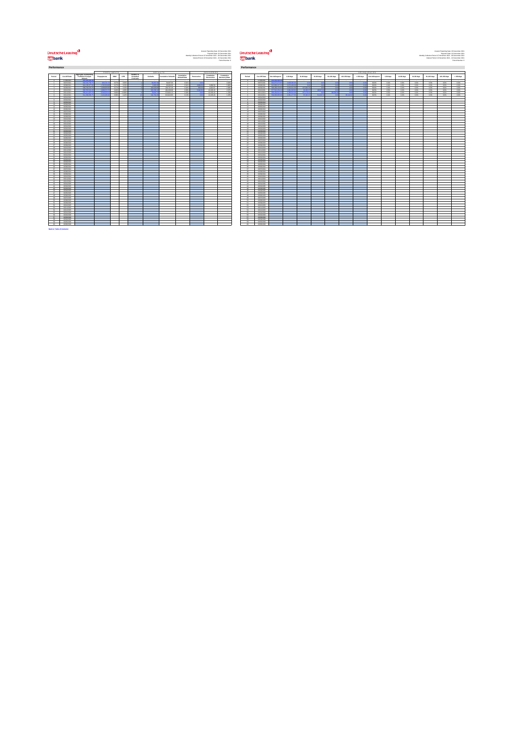# <mark>V</mark><br>بالاتارى<br>Lusbank

on the main of the main of the content of the main of the main of the main of the main of the main of the main<br>and the main of the main of the main of the main of the main of the main of the main of the main of the main

|                                   |                                |                                              |                           | PREPAYMENTS   |                |                                          |                                | <b>DEFAULTS</b>            |                                   |                   |                                               |                            |                             |                         |
|-----------------------------------|--------------------------------|----------------------------------------------|---------------------------|---------------|----------------|------------------------------------------|--------------------------------|----------------------------|-----------------------------------|-------------------|-----------------------------------------------|----------------------------|-----------------------------|-------------------------|
| Period                            | Cut-Off Date                   | Appregate Outstanding<br>Portfolio Principal | Prepayments               | SMM           | CPR            | Number of<br>Defaulted<br><b>COMPANY</b> | <b>Defaults</b>                | <b>Cumulative Defaults</b> | Cumulative<br><b>Default Rate</b> | Recoveries        | RECOVERIES<br>Cumulative<br><b>Recoveries</b> | Cumulative<br>RecoveryRate | Period                      | Cus-Off Dat             |
|                                   | 0706/2021                      |                                              |                           |               |                |                                          |                                |                            |                                   |                   |                                               |                            |                             | 0206002                 |
| ٠                                 | 06/07/2021                     | 623 503 768 7                                | 9032217                   | 0.071         | oam            |                                          | 10.000 0                       | 56,697.09                  | GOTH                              |                   |                                               | 0.001                      |                             | 06/07/202               |
| $\mathbf{r}$                      | 06/08/2021                     | 616.158.377.0                                | 1232524                   | 0.277         | 3.23%          |                                          | 9.003.00                       | 66,093.39                  | didn's                            | 3,869.5<br>son of | 3.869.58                                      | 5,80%                      | $\mathbf{r}$                | 06/08/202               |
| $\overline{a}$<br>$\overline{a}$  | 06/09/2021<br>06/10/2021       | \$98,760,576.7<br><b>CAR CO'S CAT-1</b>      | 1,009,825.8<br>0.000.0222 | 0.275<br>0.40 | 3,15%<br>4,691 |                                          | 164,626,99<br><b>AN ORA HT</b> | 230,707.28<br>491,006.38   | open<br>ozes                      | <b>Channel</b>    | 4.822.87<br>10,165.43                         | 2.095<br>2.07              | $\lambda$<br>$\overline{a}$ | 06/09/202<br>06/10/202  |
| ٠                                 | 06/11/2021                     | \$59,411,627.7                               | <b>COACH OF</b>           | 0.969         | toam           |                                          | 79.924.74                      | 670,631.12                 | com                               | A.O.              | 10.165.43                                     | 1.789                      | k.                          | 06/11/202               |
|                                   | 06/12/2021                     | <b>Carl Gold Glass</b>                       | 2.104.936.4               | 0.389         | 6.KZ           |                                          | US TOK O                       | 813.622.56                 | 0.12%                             | $\mathbf{A}$      | 10.165.43                                     | 1.201                      |                             | 06/13/202               |
| $\mathcal{I}$                     | 06/01/2022                     |                                              |                           |               |                |                                          |                                |                            |                                   |                   |                                               |                            | $\mathbf{z}$                | 0661202                 |
| $\mathbf{r}$                      | 06/02/2022                     |                                              |                           |               |                |                                          |                                |                            |                                   |                   |                                               |                            | $\mathbf{r}$                | 0603302                 |
| ٠                                 | 06/03/2022                     |                                              |                           |               |                |                                          |                                |                            |                                   |                   |                                               |                            | ٠                           | 0603/202                |
| 10<br>$\ddot{\phantom{a}}$        | 06/04/2022<br>needness         |                                              |                           |               |                |                                          |                                |                            |                                   |                   |                                               |                            | 10<br>$\ddot{\phantom{a}}$  | 0604202<br>0605/202     |
| $\mathbf{e}$                      | 06/06/2022                     |                                              |                           |               |                |                                          |                                |                            |                                   |                   |                                               |                            | 4ó                          | 0606/202                |
| 12                                | 06/07/2022                     |                                              |                           |               |                |                                          |                                |                            |                                   |                   |                                               |                            | 12                          | 06/07/202               |
| 14                                | 06/08/2022                     |                                              |                           |               |                |                                          |                                |                            |                                   |                   |                                               |                            | 14                          | 06/08/202               |
| œ                                 | nemannos                       |                                              |                           |               |                |                                          |                                |                            |                                   |                   |                                               |                            | v.                          | 06/09/202               |
| 16                                | 06/10/2022                     |                                              |                           |               |                |                                          |                                |                            |                                   |                   |                                               |                            | 16                          | 0910/202                |
| $\mathbf{r}$                      | 06/11/2022                     |                                              |                           |               |                |                                          |                                |                            |                                   |                   |                                               |                            | $\overline{a}$              | 06/11/202               |
| 18<br><b>vo</b>                   | 06/12/2022<br><b>GERA/WOVE</b> |                                              |                           |               |                |                                          |                                |                            |                                   |                   |                                               |                            | 18<br>$^{16}$               | 0912002<br>Nation false |
| $^{26}$                           | nemoranos                      |                                              |                           |               |                |                                          |                                |                            |                                   |                   |                                               |                            | i.                          | 06/02/202               |
| 21                                | 06032023                       |                                              |                           |               |                |                                          |                                |                            |                                   |                   |                                               |                            | 21                          | 06/03/202               |
| $\overline{\mathbf{z}}$           | 06/04/2023                     |                                              |                           |               |                |                                          |                                |                            |                                   |                   |                                               |                            | z                           | 06/04/202               |
| 22                                | 06/05/2023                     |                                              |                           |               |                |                                          |                                |                            |                                   |                   |                                               |                            | 22                          | 06/06/202               |
| 24                                | 06/06/2023                     |                                              |                           |               |                |                                          |                                |                            |                                   |                   |                                               |                            | 24                          | 06/06/202               |
| $\sim$                            | <b>GERMANY</b>                 |                                              |                           |               |                |                                          |                                |                            |                                   |                   |                                               |                            | u                           | 06/07/202               |
| $\sim$<br>$\overline{\mathbf{z}}$ | 06/08/2023<br>06/09/2023       |                                              |                           |               |                |                                          |                                |                            |                                   |                   |                                               |                            | $\sim$<br>22                | 06/08/202<br>outowata:  |
| $\overline{\mathbf{z}}$           | 06/10/2023                     |                                              |                           |               |                |                                          |                                |                            |                                   |                   |                                               |                            | 28                          | 06/10/202               |
| 29                                | 06/11/2023                     |                                              |                           |               |                |                                          |                                |                            |                                   |                   |                                               |                            | 29                          | 0911002                 |
| $\sim$                            | newsraphy                      |                                              |                           |               |                |                                          |                                |                            |                                   |                   |                                               |                            | u                           | 06/13/202               |
| $^{2}$                            | <b>GEOSTORIA</b>               |                                              |                           |               |                |                                          |                                |                            |                                   |                   |                                               |                            | $\overline{21}$             | 06/01/202               |
| $\overline{\mathbf{z}}$           | 06/02/2024                     |                                              |                           |               |                |                                          |                                |                            |                                   |                   |                                               |                            | $\overline{\mathbf{z}}$     | 0603203                 |
| $\mathbf{z}$                      | 06/03/2024                     |                                              |                           |               |                |                                          |                                |                            |                                   |                   |                                               |                            | $\overline{\mathbf{z}}$     | 06/03/202               |
| 24<br>$\infty$                    | 06/04/2024<br>06/05/2024       |                                              |                           |               |                |                                          |                                |                            |                                   |                   |                                               |                            | 24<br>$\infty$              | 06/04/202<br>0605/202   |
| $\mathbf{a}$                      | 06/06/2024                     |                                              |                           |               |                |                                          |                                |                            |                                   |                   |                                               |                            | ×                           | 06/06/202               |
| 42                                | 06/07/2024                     |                                              |                           |               |                |                                          |                                |                            |                                   |                   |                                               |                            | $\overline{v}$              | 06/07/202               |
| $\mathbf{a}$                      | 06/08/2024                     |                                              |                           |               |                |                                          |                                |                            |                                   |                   |                                               |                            | $^{26}$                     | 06/08/202               |
| 20                                | 06/09/2024                     |                                              |                           |               |                |                                          |                                |                            |                                   |                   |                                               |                            | 20                          | 06/09/202               |
| 40                                | 06/10/2024                     |                                              |                           |               |                |                                          |                                |                            |                                   |                   |                                               |                            | 40                          | 06/10/202               |
| 41                                | 06/11/2024                     |                                              |                           |               |                |                                          |                                |                            |                                   |                   |                                               |                            | $\ddot{a}$                  | 0911000                 |
| $\alpha$<br>42                    | 06/12/2024<br>06/01/2026       |                                              |                           |               |                |                                          |                                |                            |                                   |                   |                                               |                            | ä<br>$\alpha$               | 06/12/202<br>0601202    |
| 44                                | 06/02/2026                     |                                              |                           |               |                |                                          |                                |                            |                                   |                   |                                               |                            | 44                          | 0603202                 |
| es.                               | 06/03/2026                     |                                              |                           |               |                |                                          |                                |                            |                                   |                   |                                               |                            | $\alpha$                    | 06/03/202               |
| $^{46}$                           | 06/04/2026                     |                                              |                           |               |                |                                          |                                |                            |                                   |                   |                                               |                            | $^{46}$                     | 06/04/202               |
| $\sigma$                          | 06/05/2026                     |                                              |                           |               |                |                                          |                                |                            |                                   |                   |                                               |                            | a.                          | 0605/202                |
| <b>AS</b>                         | 06/06/2020                     |                                              |                           |               |                |                                          |                                |                            |                                   |                   |                                               |                            | ×                           | 06/06/202               |
| 49<br>so.                         | osezgos<br><b>NANOCE</b>       |                                              |                           |               |                |                                          |                                |                            |                                   |                   |                                               |                            | 49<br>$\overline{a}$        | 06/07/202<br>Note 1993  |
| 61                                | oseages                        |                                              |                           |               |                |                                          |                                |                            |                                   |                   |                                               |                            | 61                          | 0609/202                |
| 62                                | 06/10/2026                     |                                              |                           |               |                |                                          |                                |                            |                                   |                   |                                               |                            | si                          | 06/10/202               |
| 6X                                | 06/11/2026                     |                                              |                           |               |                |                                          |                                |                            |                                   |                   |                                               |                            | ss                          | 06/11/202               |
| 54                                | 06/12/2025                     |                                              |                           |               |                |                                          |                                |                            |                                   |                   |                                               |                            | 64                          | 0612002                 |
| $\alpha$                          | <b>GERAVIOS</b>                |                                              |                           |               |                |                                          |                                |                            |                                   |                   |                                               |                            | $\alpha$                    | 0601202                 |
| $\overline{\mathcal{L}}$          | <b>GEOGRAPH</b>                |                                              |                           |               |                |                                          |                                |                            |                                   |                   |                                               |                            | $\alpha$                    | 0603/202                |
| 57                                | oseageas                       |                                              |                           |               |                |                                          |                                |                            |                                   |                   |                                               |                            | $\Omega$                    | 0603202                 |
| $\alpha$<br>s                     | 06/04/2026<br>06/05/2026       |                                              |                           |               |                |                                          |                                |                            |                                   |                   |                                               |                            | ω<br>s                      | 06/04/202<br>0605/200   |
| 60                                | 06/06/2026                     |                                              |                           |               |                |                                          |                                |                            |                                   |                   |                                               |                            | 60                          | 0606/202                |
|                                   |                                |                                              |                           |               |                |                                          |                                |                            |                                   |                   |                                               |                            |                             |                         |

| ormance        |                                 |                                              |                   |               |                |                        |                   |                            |                                   |                |                          |                            | Performance                                          |                               |                                      |                       |              |                  |             |              |                       |                      |                 |              |               |                  |              |             |
|----------------|---------------------------------|----------------------------------------------|-------------------|---------------|----------------|------------------------|-------------------|----------------------------|-----------------------------------|----------------|--------------------------|----------------------------|------------------------------------------------------|-------------------------------|--------------------------------------|-----------------------|--------------|------------------|-------------|--------------|-----------------------|----------------------|-----------------|--------------|---------------|------------------|--------------|-------------|
|                |                                 |                                              | PREPAYMENTS       |               |                |                        |                   | <b>DEFAULTS</b>            |                                   |                | <b>RECOVERIES</b>        |                            |                                                      |                               |                                      |                       |              |                  |             |              |                       | <b>DELINQUENCIES</b> |                 |              |               |                  |              |             |
| iod            | Cut-Off Date                    | Appregate Outstanding<br>Portfolio Principal | Prepayments       | SMM           | CPR            | Number of<br>Defaulted | <b>Defaults</b>   | <b>Cumulative Defaults</b> | Cumulative<br><b>Default Rate</b> | Recoveries     | Cumulative<br>Recoveries | Cumulative<br>RecoveryRate | Period                                               | Cut-Off Date                  | Not delinquent                       | $1-30 \mathrm{~days}$ | 3140 days    | 61-90 days       | 91-120 days | 121-150 days | $>150\,\mathrm{days}$ | Not delinquent       | 1-30 days       | 31-60 days   | 61-93 days    | 95-120 days      | 121-150 days | $>150$ days |
|                | <b>ATRACED</b><br><b>GERMAN</b> | 499, 699, 269.3                              |                   | -0.03         |                |                        |                   |                            |                                   |                |                          |                            |                                                      | 42060011<br>nanzone           | 0000000                              |                       |              |                  |             |              |                       |                      |                 | ons.         |               | AMK <sup>1</sup> | AM6          | 00%         |
| c.             | 06/08/2021                      | 616, 158, 377.5                              | 123252408         | 0.27%         | 0.89%<br>322%  |                        | 9,000.00          | 55,697.09<br>66,093.39     | A data<br>dotti                   | <b>CARLO A</b> | 3,895.58                 | 0.00%<br>5.98%             | <b>Contract Contract Contract</b><br><b>Security</b> | 09090021                      | 613,696,217.2                        | 2.272.160.36          | <b>COLOR</b> | <b>Call Cold</b> | 1,400       |              |                       | 99.0%<br>99.9%       | CLANK .<br>0.4% | 0.0%         | 0.096<br>0.0% | 4.0%             | 0.0%         | 0.0%        |
|                | 06/09/2021                      | \$98,760,576.7                               |                   | 0.275         | 3.656          |                        | <b>GEORGIA</b>    | 20070728                   | com                               |                | 482247                   | 200%                       |                                                      | 06/09/2021                    | 500,400,120                          | <b>SINGLOIRES</b>     |              |                  |             |              |                       | 99.6%                | 0.4%            | $0.0\%$      | 0.0%          | 40%              | 0.0%         | 0.0%        |
|                | 06/10/2021<br><b>GENERAL</b>    | 008-011-002                                  | <b>COACH</b>      | 0.409<br>0.99 | 4,69%<br>10.89 |                        | 29,004            | 491,006.98<br>Chiese et    | AM6<br>A Note                     |                | 1010543<br>1010543       | 20%                        | $\overline{a}$                                       | 09/10/2021<br><b>ANTICONS</b> | <b>CITIEN WHY</b><br><b>COLLEGER</b> |                       | co co.       |                  |             |              |                       | 49.9%<br>99 SM       | O SHL<br>A Shi  | 0.0%<br>ons. | 0.096<br>0.09 | AMC<br>Arts.     | AM6<br>C-MA  | 0.0%<br>Am. |
|                | <b>GENVING</b>                  | <b>Key Kell Kid 2</b>                        | <b>CONTRACTOR</b> | 0.985         | 4,40%          |                        | <b>Automake A</b> | \$1000.00                  | A VHL                             |                | 1010543                  | 1.789<br>$+906$            | $\sim$                                               | ANY MOVE                      | Chi nes and                          | <b>AMERICA</b>        |              | <b>NAMES</b>     |             | <b>SALAR</b> |                       | 49.6%                | CLASS:          | ons.         | 0.0%          | AM.              | AM6          | 0.0%        |
|                | 06/01/2022                      |                                              |                   |               |                |                        |                   |                            |                                   |                |                          |                            | $\sim$                                               | 06012022                      |                                      |                       |              |                  |             |              |                       |                      |                 |              |               |                  |              |             |
|                | 06/02/2022<br>06/03/2022        |                                              |                   |               |                |                        |                   |                            |                                   |                |                          |                            | $\rightarrow$                                        | 06/02/2022<br>06/03/2022      |                                      |                       |              |                  |             |              |                       |                      |                 |              |               |                  |              |             |
| o.             | 06/04/2022                      |                                              |                   |               |                |                        |                   |                            |                                   |                |                          |                            | 10                                                   | 06/04/2022                    |                                      |                       |              |                  |             |              |                       |                      |                 |              |               |                  |              |             |
| Ŧ              | <b>NAVOY</b>                    |                                              |                   |               |                |                        |                   |                            |                                   |                |                          |                            | $\overline{11}$                                      | NASARIY                       |                                      |                       |              |                  |             |              |                       |                      |                 |              |               |                  |              |             |
| á.             | numeroso.<br>06/07/2022         |                                              |                   |               |                |                        |                   |                            |                                   |                |                          |                            | $+9$<br>$12 -$                                       | 1006/002<br>06/07/2022        |                                      |                       |              |                  |             |              |                       |                      |                 |              |               |                  |              |             |
| ÷.             | 06/08/2022                      |                                              |                   |               |                |                        |                   |                            |                                   |                |                          |                            | 14                                                   | 0909/2022                     |                                      |                       |              |                  |             |              |                       |                      |                 |              |               |                  |              |             |
|                | 06/09/2022                      |                                              |                   |               |                |                        |                   |                            |                                   |                |                          |                            | 16                                                   | 09/09/2022                    |                                      |                       |              |                  |             |              |                       |                      |                 |              |               |                  |              |             |
| ú.<br>÷        | 06/10/2022<br><b>GENERAL</b>    |                                              |                   |               |                |                        |                   |                            |                                   |                |                          |                            | 19.<br>$\sigma$                                      | 09/10/2022<br>00110902        |                                      |                       |              |                  |             |              |                       |                      |                 |              |               |                  |              |             |
| k.             | 06/12/2022                      |                                              |                   |               |                |                        |                   |                            |                                   |                |                          |                            | 18                                                   | 09120022                      |                                      |                       |              |                  |             |              |                       |                      |                 |              |               |                  |              |             |
| ý.             | 06/01/2023                      |                                              |                   |               |                |                        |                   |                            |                                   |                |                          |                            | $19 -$                                               | 09012023                      |                                      |                       |              |                  |             |              |                       |                      |                 |              |               |                  |              |             |
| ń.<br>H.       | 06/02/2023<br>06/03/2023        |                                              |                   |               |                |                        |                   |                            |                                   |                |                          |                            | $20 -$<br>$-21$                                      | 09022023<br>outpages          |                                      |                       |              |                  |             |              |                       |                      |                 |              |               |                  |              |             |
| ż.             | <b>GENERAL</b>                  |                                              |                   |               |                |                        |                   |                            |                                   |                |                          |                            | date.                                                | 0004003                       |                                      |                       |              |                  |             |              |                       |                      |                 |              |               |                  |              |             |
| ñ.             | <b>GASCOZO</b>                  |                                              |                   |               |                |                        |                   |                            |                                   |                |                          |                            | <b>ABLE</b>                                          | 0605/2023                     |                                      |                       |              |                  |             |              |                       |                      |                 |              |               |                  |              |             |
| M.<br>ĸ        | 06060223<br>06/07/2023          |                                              |                   |               |                |                        |                   |                            |                                   |                |                          |                            | 24<br>26                                             | 06/06/2023<br>06/07/2023      |                                      |                       |              |                  |             |              |                       |                      |                 |              |               |                  |              |             |
| ú.             | 06092023                        |                                              |                   |               |                |                        |                   |                            |                                   |                |                          |                            | $^{26}$                                              | owongoza                      |                                      |                       |              |                  |             |              |                       |                      |                 |              |               |                  |              |             |
| o.             | 06/09/2023                      |                                              |                   |               |                |                        |                   |                            |                                   |                |                          |                            | 27                                                   | ogon/2023                     |                                      |                       |              |                  |             |              |                       |                      |                 |              |               |                  |              |             |
| ł.<br>ś        | 06/10/2023<br>06/11/2023        |                                              |                   |               |                |                        |                   |                            |                                   |                |                          |                            | <b>Abb</b><br>$\rightarrow$                          | 09100023<br>09110023          |                                      |                       |              |                  |             |              |                       |                      |                 |              |               |                  |              |             |
| ó              | 06/12/2023                      |                                              |                   |               |                |                        |                   |                            |                                   |                |                          |                            | 20                                                   | 09120023                      |                                      |                       |              |                  |             |              |                       |                      |                 |              |               |                  |              |             |
| H.             | 06012024                        |                                              |                   |               |                |                        |                   |                            |                                   |                |                          |                            | $21 -$                                               | 09012024                      |                                      |                       |              |                  |             |              |                       |                      |                 |              |               |                  |              |             |
| ú.<br>ú.       | 06/02/2024<br>oseagea+          |                                              |                   |               |                |                        |                   |                            |                                   |                |                          |                            | $22 -$<br><b>Ab</b>                                  | 09022024<br>ogoagope          |                                      |                       |              |                  |             |              |                       |                      |                 |              |               |                  |              |             |
| u.             | 06042024                        |                                              |                   |               |                |                        |                   |                            |                                   |                |                          |                            | $\sim$                                               | 09042024                      |                                      |                       |              |                  |             |              |                       |                      |                 |              |               |                  |              |             |
| ś.<br>a.       | 06050024                        |                                              |                   |               |                |                        |                   |                            |                                   |                |                          |                            | $\mathbf{z}$                                         | 0905/2024                     |                                      |                       |              |                  |             |              |                       |                      |                 |              |               |                  |              |             |
| o.             | 06/06/2024<br>OGGTODA           |                                              |                   |               |                |                        |                   |                            |                                   |                |                          |                            | 26<br><b>AND COMPANY</b>                             | 09060001<br>09/07/2024        |                                      |                       |              |                  |             |              |                       |                      |                 |              |               |                  |              |             |
| á.             | 06/08/2024                      |                                              |                   |               |                |                        |                   |                            |                                   |                |                          |                            | 1994                                                 | 09/08/2024                    |                                      |                       |              |                  |             |              |                       |                      |                 |              |               |                  |              |             |
| n              | 06/09/2024<br>dentrona.         |                                              |                   |               |                |                        |                   |                            |                                   |                |                          |                            | $\sim$<br>$\circ$                                    | 0909/2024<br>09100004         |                                      |                       |              |                  |             |              |                       |                      |                 |              |               |                  |              |             |
| 'n.            | 06/11/2024                      |                                              |                   |               |                |                        |                   |                            |                                   |                |                          |                            | $41 -$                                               | 09110024                      |                                      |                       |              |                  |             |              |                       |                      |                 |              |               |                  |              |             |
| ó.             | 06/12/2024                      |                                              |                   |               |                |                        |                   |                            |                                   |                |                          |                            |                                                      | 42 09120004                   |                                      |                       |              |                  |             |              |                       |                      |                 |              |               |                  |              |             |
| ń.             | 06012025<br>06/02/2025          |                                              |                   |               |                |                        |                   |                            |                                   |                |                          |                            | 42<br>$\frac{1}{2}$                                  | ogon tops<br>06/02/2025       |                                      |                       |              |                  |             |              |                       |                      |                 |              |               |                  |              |             |
|                | <b>GEOGRAPH</b>                 |                                              |                   |               |                |                        |                   |                            |                                   |                |                          |                            | $\overline{\mathbf{z}}$                              | Applyments                    |                                      |                       |              |                  |             |              |                       |                      |                 |              |               |                  |              |             |
| ŵ              | 06043025                        |                                              |                   |               |                |                        |                   |                            |                                   |                |                          |                            | $-46$                                                | 09042025                      |                                      |                       |              |                  |             |              |                       |                      |                 |              |               |                  |              |             |
| $\sigma$<br>ú. | osescents<br>oseggggs           |                                              |                   |               |                |                        |                   |                            |                                   |                |                          |                            | $\overline{a}$                                       | 47 outsides<br>concernos      |                                      |                       |              |                  |             |              |                       |                      |                 |              |               |                  |              |             |
| ú.             | <b>OGRZODE</b>                  |                                              |                   |               |                |                        |                   |                            |                                   |                |                          |                            | <b>ARCHITECT</b>                                     | 06/07/2025                    |                                      |                       |              |                  |             |              |                       |                      |                 |              |               |                  |              |             |
|                | nunereon.                       |                                              |                   |               |                |                        |                   |                            |                                   |                |                          |                            | $\omega$                                             | 10090005                      |                                      |                       |              |                  |             |              |                       |                      |                 |              |               |                  |              |             |
| ä<br>á.        | oseages.<br>06/10/2025          |                                              |                   |               |                |                        |                   |                            |                                   |                |                          |                            | 51                                                   | outwates<br>52 percepts       |                                      |                       |              |                  |             |              |                       |                      |                 |              |               |                  |              |             |
| ×.             | GEN VANDS                       |                                              |                   |               |                |                        |                   |                            |                                   |                |                          |                            | 65                                                   | ANY USAN                      |                                      |                       |              |                  |             |              |                       |                      |                 |              |               |                  |              |             |
| H.             | 06/12/2025                      |                                              |                   |               |                |                        |                   |                            |                                   |                |                          |                            | $\sim$                                               | 06/12/2025                    |                                      |                       |              |                  |             |              |                       |                      |                 |              |               |                  |              |             |
|                | <b>GENERAL</b><br>oseggege      |                                              |                   |               |                |                        |                   |                            |                                   |                |                          |                            | $\alpha$<br>56                                       | 00010000<br>06022029          |                                      |                       |              |                  |             |              |                       |                      |                 |              |               |                  |              |             |
| ä.             | oseageas                        |                                              |                   |               |                |                        |                   |                            |                                   |                |                          |                            | 57                                                   | 06/03/2026                    |                                      |                       |              |                  |             |              |                       |                      |                 |              |               |                  |              |             |
|                | <b>GERAPHIE</b>                 |                                              |                   |               |                |                        |                   |                            |                                   |                |                          |                            | $^{66}$                                              | CONTACTOR                     |                                      |                       |              |                  |             |              |                       |                      |                 |              |               |                  |              |             |
| ń              | <b>NAVOID</b><br>06062026       |                                              |                   |               |                |                        |                   |                            |                                   |                |                          |                            | co.<br>$\omega$                                      | 1606/909<br>0606/2026         |                                      |                       |              |                  |             |              |                       |                      |                 |              |               |                  |              |             |
|                |                                 |                                              |                   |               |                |                        |                   |                            |                                   |                |                          |                            |                                                      |                               |                                      |                       |              |                  |             |              |                       |                      |                 |              |               |                  |              |             |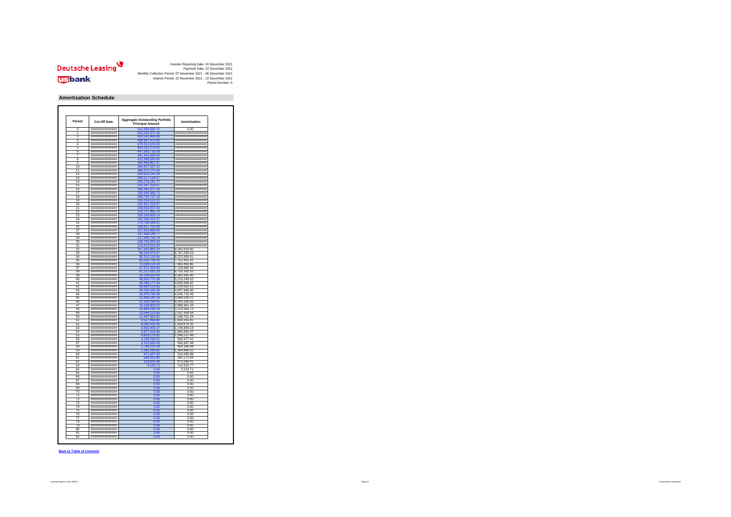

#### **Amortisation Schedule**

| Period          | Cut-Off Date                          | <b>Aggregate Outstanding Portfolio</b><br><b>Principal Amount</b> | Amortisation                             |
|-----------------|---------------------------------------|-------------------------------------------------------------------|------------------------------------------|
|                 | ****************                      | 541<br>89.56                                                      | 0 <sup>0<sup>c</sup></sup>               |
|                 | ****************                      | 0421                                                              | *******************                      |
| 2               | ###############                       | 510,551,466.89                                                    | ******************                       |
| 3               | ###############                       | 494,997,970.90                                                    | #################                        |
| 4               | ###############                       | 9.313.103.6                                                       | *******************                      |
| ĥ               | ###############                       | 63,312,278.63                                                     | ********************                     |
| R               | ###############                       | 33.718.09                                                         | ##################                       |
|                 | ###############                       | 31,401,668.6                                                      | *******************                      |
| 8               | ****************                      | 415,688,650.90                                                    | *********************                    |
| $\overline{a}$  | ###############                       | 400,464,967.97                                                    | *******************                      |
| 10              | ***************                       |                                                                   | *******************                      |
| 11              | ****************                      | 4.817.537.15<br>369.372.172.64                                    | ********************                     |
|                 |                                       |                                                                   |                                          |
| 12              | ###############<br>***************    | 4.650.245.9                                                       | *******************<br>################# |
| 13              |                                       | 10,117,128<br>.9                                                  |                                          |
| 14              | *****************                     |                                                                   | ********************                     |
| 15              | ###############                       | 310, 267, 233.67                                                  | *******************                      |
| 16              | ****************                      | 296,445,475.18                                                    | *********************                    |
| Ŧ.              | ****************                      |                                                                   | #################                        |
| 18              | ###############                       | 268.726.727.16                                                    | ##################                       |
| 19              | ****************                      | 255,254,121.22                                                    | *********************                    |
| $\overline{20}$ | *****************                     | 41.831.310.0                                                      | *******************                      |
| 21              | *****************                     | 228.053.657.03                                                    | #################                        |
| 22              | ****************                      | 215,727,465.70                                                    | ********************                     |
| 23              | *****************                     | 03.209.969.14                                                     | *******************                      |
| 24              | ****************                      | 191,536,313.17                                                    | *******************                      |
| 25              | *****************                     | 179,708,589.91                                                    | ##################                       |
| 26              | ****************                      | 168,827,735.9                                                     | ********************                     |
| 27              | ###############                       | 57.815.89                                                         | *******************                      |
| 28              | ###############                       | 147,469,144.77                                                    | ##################                       |
| 20              | ****************                      | 137,094,758.78                                                    | *******************                      |
| 30              | *****************                     | <b>Q3</b>                                                         | *******************                      |
| 31              | ###############                       | 116,513,514,20                                                    | ##################                       |
| 32              | ****************                      | 107,331,881.20                                                    | 9.181.633.00                             |
| 33              | ###############                       | 8.534.67                                                          |                                          |
| 24              | ###############                       | 90.312.110.06                                                     | 8,797,205.53<br>8.222.565.61             |
| 35              |                                       |                                                                   |                                          |
|                 | ###############                       | 82,559,708.15                                                     | 7,752,401.91                             |
| 36              | *****************                     | 75.099.214.29                                                     | 7,460,493.86                             |
| 37              | ###############                       | 67 972 333 95                                                     | 7,126,880.34                             |
| 38              | ###############                       | 61,217,031.33                                                     | 6,755,302.62                             |
| 39              | ###############                       | 55 136 025 93                                                     | 6,081,005.40                             |
| 40              | ****************                      | 49,916,776.38                                                     | 5.219.249.55                             |
| 41              | ###############                       | 45 088 177 46                                                     | 4.828.598.92                             |
| 42              | ###############                       | 64,114.95<br>38 G                                                 | 6,124,062.51                             |
| 43              | ###############                       |                                                                   | 4,937,669.00                             |
| 44              | ###############                       | 29,479,735.49                                                     | 4,546,710.46                             |
| 45              | ****************                      | 25.490.545.28                                                     | 3,989,190.21                             |
| 46              | ###############                       |                                                                   | 4,341,260.83                             |
| 47              | *****************                     | 18.159.903.02                                                     | 2.989.381.43                             |
| 48              | ###############                       | 15,883,548.29                                                     | 2,276,354.73                             |
| 49              | ###############                       | 46,113.6                                                          | 2<br>337,434.64                          |
| 50              | ###############                       | 137<br>24                                                         | 5<br>,108,761.04                         |
| 51              | ###############                       | 9,527,996.80                                                      | 1,909,355.81                             |
| 52              | ###############                       | 8,099,318.45                                                      | 1 428 678 35                             |
| £3              | *****************                     | r                                                                 | 136,909.18<br>1                          |
| 54              | ##############                        | 5.877.415.80                                                      | 1,084,993.47                             |
| 55              | ###############                       |                                                                   | 1,048,237.48                             |
|                 |                                       | 4,829,178.3                                                       |                                          |
| 56<br>57        | ###############                       |                                                                   | 669.477<br>.41                           |
|                 | ##############                        | 3,210,333.43                                                      | 949, 367.48                              |
| 58              | ###############                       | 2,746,153.3                                                       | 464,180.09                               |
| 59              | ###############                       | 1,381,183.8                                                       | 1,364,969.52                             |
| 60              | ****************                      | 871 087 93                                                        | 510,095.89                               |
| 61              | ###############                       | 9,915.8                                                           | 281, 172.04                              |
| 62              | ***************                       | 119.63<br>5 48                                                    | 470.280.41                               |
| 63              | ****************                      | 124.71                                                            | 116,510.77                               |
| 64              | *****************                     | 0.00                                                              | 3,124.71                                 |
| 65              | ###############                       | 0.00                                                              | 0.00                                     |
| 66              | *****************                     |                                                                   | 0.00                                     |
| 67              | ###############                       | 0.00                                                              | 0.00                                     |
| 68              | *****************                     | 0.00                                                              | 0.00                                     |
| 69              | *****************                     | n on                                                              | 0.00                                     |
| $\overline{70}$ | *****************                     | 0.00                                                              | 0.00                                     |
| 71              |                                       |                                                                   |                                          |
|                 | ****************<br>***************** | 0.00                                                              | 0.00                                     |
|                 |                                       | 0.00                                                              | 0.00                                     |
| 73              | ****************                      | n nn                                                              | 0.00                                     |
| 74              | ****************                      | 0.00                                                              | 0.00                                     |
| 75              | ###############                       | 0.00                                                              | 0.00                                     |
| 76              | *****************                     | 0.00                                                              | n nn                                     |
| 77              | *****************                     | 0.00                                                              | 0.00                                     |
| 78              | ###############                       | 0.00                                                              | 0.00                                     |
| 70              | ###############                       |                                                                   | 0.00                                     |
| 80              | ###############                       | 0.00                                                              | 0.00                                     |
| 81              | ###############                       | 0.00                                                              | 0.00                                     |
| 82              | ###############                       |                                                                   | 0.00                                     |
|                 |                                       |                                                                   |                                          |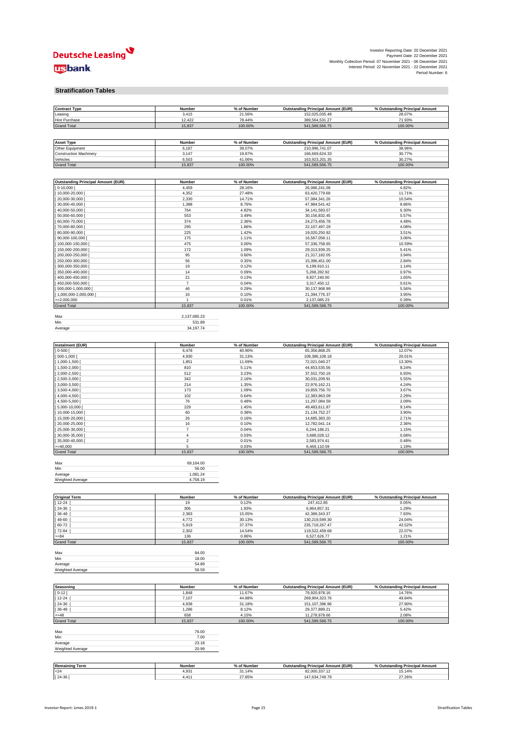## Deutsche Leasing **usbank**

| Investor Reporting Date: 20 December 2021                      |  |
|----------------------------------------------------------------|--|
| Payment Date: 22 December 2021                                 |  |
| Monthly Collection Period: 07 November 2021 - 06 December 2021 |  |
| Interest Period: 22 November 2021 - 22 December 2021           |  |
| Period Number: 6                                               |  |

#### **Stratification Tables**

| <b>Contract Type</b>                      | Number           | % of Number      | <b>Outstanding Principal Amount (EUR)</b> | % Outstanding Principal Amount |
|-------------------------------------------|------------------|------------------|-------------------------------------------|--------------------------------|
| Leasing                                   | 3,415            | 21.56%           | 152,025,035.48                            | 28.07%                         |
| Hire Purchase                             | 12,422           | 78.44%           | 389,564,531.27                            | 71.93%                         |
| <b>Grand Total</b>                        | 15,837           | 100.00%          | 541,589,566.75                            | 100.00%                        |
|                                           |                  |                  |                                           |                                |
|                                           |                  |                  |                                           |                                |
| <b>Asset Type</b>                         | Number           | % of Number      | <b>Outstanding Principal Amount (EUR)</b> | % Outstanding Principal Amount |
| Other Equipment                           | 6,187            | 39.07%           | 210,996,741.07                            | 38.96%                         |
| <b>Construction Machinery</b>             | 3,147            | 19.87%           | 166,669,624.33                            | 30.77%                         |
|                                           |                  |                  |                                           | 30.27%                         |
| Vehicles                                  | 6,503            | 41.06%           | 163,923,201.35                            |                                |
| <b>Grand Total</b>                        | 15,837           | 100.00%          | 541,589,566.75                            | 100.00%                        |
|                                           |                  |                  |                                           |                                |
|                                           |                  |                  |                                           |                                |
| <b>Outstanding Principal Amount (EUR)</b> | Number           | % of Number      | <b>Outstanding Principal Amount (EUR)</b> | % Outstanding Principal Amount |
| $[0-10,000]$                              | 4,459            | 28.16%           | 26,086,241.08                             | 4.82%                          |
| 10,000-20,000                             | 4,352            | 27.48%           | 63,420,779.68                             | 11.71%                         |
| 20,000-30,000                             | 2,330            | 14.71%           | 57,084,341.26                             | 10.54%                         |
| 30,000-40,000                             | 1,388            | 8.76%            | 47,984,541.42                             | 8.86%                          |
|                                           | 764              |                  |                                           |                                |
| 40,000-50,000                             |                  | 4.82%            | 34, 141, 583. 07                          | 6.30%                          |
| 50,000-60,000                             | 553              | 3.49%            | 30,156,832.45                             | 5.57%                          |
| 60,000-70,000                             | 374              | 2.36%            | 24,273,456.78                             | 4.48%                          |
| 70,000-80,000                             | 295              | 1.86%            | 22,107,497.29                             | 4.08%                          |
| 80,000-90,000                             | 225              | 1.42%            | 19,020,250.92                             | 3.51%                          |
| 90,000-100,000                            | 175              | 1.11%            | 16,567,058.11                             | 3.06%                          |
| 100,000-150,000                           | 475              | 3.00%            | 57,336,758.65                             | 10.59%                         |
| 150,000-200,000                           | 172              | 1.09%            | 29,313,939.25                             | 5.41%                          |
|                                           |                  |                  |                                           |                                |
| 200,000-250,000                           | 95               | 0.60%            | 21,317,182.05                             | 3.94%                          |
| 250,000-300,000                           | 56               | 0.35%            | 15,396,451.00                             | 2.84%                          |
| 300,000-350,000                           | 19               | 0.12%            | 6,199,910.11                              | 1.14%                          |
| 350,000-400,000                           | 14               | 0.09%            | 5,268,282.92                              | 0.97%                          |
| 400,000-450,000                           | 21               | 0.13%            | 8,927,240.00                              | 1.65%                          |
| 450,000-500,000                           | 7                | 0.04%            | 3,317,450.12                              | 0.61%                          |
| 500,000-1,000,000                         | 46               | 0.29%            | 30,137,908.99                             | 5.56%                          |
| 1,000,000-2,000,000                       | 16               | 0.10%            |                                           | 3.95%                          |
|                                           | $\overline{1}$   |                  | 21,394,776.37                             |                                |
| $=2,000,000$                              |                  | 0.01%            | 2,137,085.23                              | 0.39%                          |
| <b>Grand Total</b>                        | 15,837           | 100.00%          | 541,589,566.75                            | 100.00%                        |
|                                           |                  |                  |                                           |                                |
| Max                                       | 2,137,085.23     |                  |                                           |                                |
| Min                                       | 531.89           |                  |                                           |                                |
| Average                                   | 34,197.74        |                  |                                           |                                |
|                                           |                  |                  |                                           |                                |
|                                           |                  |                  |                                           |                                |
| Instalment (EUR)                          | <b>Number</b>    | % of Number      | <b>Outstanding Principal Amount (EUR)</b> | % Outstanding Principal Amount |
| $ 0 - 500 $                               | 6,478            | 40.90%           |                                           | 12.07%                         |
|                                           |                  |                  | 65,356,868.25                             |                                |
| 500-1,000                                 | 4,930            | 31.13%           | 108,386,108.18                            | 20.01%                         |
| 1,000-1,500                               | 1,851            | 11.69%           | 72,021,040.27                             | 13.30%                         |
| 1,500-2,000                               | 810              | 5.11%            | 44,653,535.56                             | 8.24%                          |
| 2,000-2,500                               | 512              | 3.23%            | 37,552,750.19                             | 6.93%                          |
| 2,500-3,000                               | 342              | 2.16%            | 30,031,209.91                             | 5.55%                          |
| 3,000-3,500                               | 214              | 1.35%            | 22,976,162.21                             | 4.24%                          |
| $3,500-4,000$                             | 173              | 1.09%            | 19,859,756.70                             | 3.67%                          |
| 4,000-4,500                               | 102              | 0.64%            | 12,383,963.09                             | 2.29%                          |
|                                           |                  |                  |                                           |                                |
| 4,500-5,000                               | 76               | 0.48%            | 11,297,084.58                             | 2.09%                          |
| 5,000-10,000                              | 229              | 1.45%            | 49,483,611.87                             | 9.14%                          |
| 10,000-15,000                             | 60               | 0.38%            | 21, 134, 752. 27                          | 3.90%                          |
| 15,000-20,000                             | 26               | 0.16%            | 14,685,383.20                             | 2.71%                          |
| 20,000-25,000                             | 16               | 0.10%            | 12,782,041.14                             | 2.36%                          |
| 25,000-30,000                             | $\overline{7}$   | 0.04%            | 6,244,186.21                              | 1.15%                          |
| 30,000-35,000                             | 4                | 0.03%            | 3,688,028.12                              | 0.68%                          |
|                                           | $\boldsymbol{2}$ |                  |                                           | 0.48%                          |
| 35,000-40,000                             |                  | 0.01%            | 2,583,974.41                              |                                |
| $=40,000$                                 | 5                | 0.03%            | 6,469,110.59                              | 1.19%                          |
| <b>Grand Total</b>                        | 15,837           | 100.00%          | 541,589,566.75                            | 100.00%                        |
|                                           |                  |                  |                                           |                                |
| Max                                       | 69,164.00        |                  |                                           |                                |
| Min                                       | 56.00            |                  |                                           |                                |
| Average                                   | 1,081.24         |                  |                                           |                                |
| Weighted Average                          | 4,758.19         |                  |                                           |                                |
|                                           |                  |                  |                                           |                                |
|                                           |                  |                  |                                           |                                |
|                                           |                  |                  |                                           |                                |
| <b>Original Term</b>                      | Number           | % of Number      | <b>Outstanding Principal Amount (EUR)</b> | % Outstanding Principal Amount |
| $12 - 24$                                 | 19               | 0.12%            | 247,412.85                                | 0.05%                          |
| 24-36                                     | 306              | 1.93%            | 6,964,857.31                              | 1.29%                          |
| 36-48                                     | 2,383            | 15.05%           | 42,389,343.37                             | 7.83%                          |
| 48-60                                     | 4,772            | 30.13%           | 130,219,599.30                            | 24.04%                         |
| 60-72                                     | 5,919            | 37.37%           | 235,718,267.47                            | 43.52%                         |
| [72-84                                    | 2,302            | 14.54%           | 119,522,459.68                            | 22.07%                         |
| $>= 84$                                   | 136              | 0.86%            | 6,527,626.77                              | 1.21%                          |
| <b>Grand Total</b>                        | 15,837           | 100.00%          | 541,589,566.75                            | 100.00%                        |
|                                           |                  |                  |                                           |                                |
|                                           |                  |                  |                                           |                                |
| Max                                       | 84.00            |                  |                                           |                                |
| Min                                       | 18.00            |                  |                                           |                                |
| Average                                   | 54.89            |                  |                                           |                                |
| Weighted Average                          | 58.59            |                  |                                           |                                |
|                                           |                  |                  |                                           |                                |
|                                           |                  |                  |                                           |                                |
| Seasoning                                 | Number           | % of Number      | <b>Outstanding Principal Amount (EUR)</b> | % Outstanding Principal Amount |
| $0 - 12$                                  | 1,848            | 11.67%           | 79,920,978.16                             | 14.76%                         |
|                                           |                  |                  |                                           |                                |
| $12 - 24$                                 | 7,107            | 44.88%           | 269,904,323.76                            | 49.84%                         |
| 24-36                                     | 4,938            | 31.18%           | 151, 107, 396.96                          | 27.90%                         |
| 36-48                                     | 1,286            | 8.12%            | 29,377,889.21                             | 5.42%                          |
| $=48$                                     | 658              | 4.15%            | 11,278,978.66                             | 2.08%                          |
| <b>Grand Total</b>                        | 15,837           | 100.00%          | 541,589,566.75                            | 100.00%                        |
|                                           |                  |                  |                                           |                                |
| Max                                       | 76.00            |                  |                                           |                                |
| Min                                       | 7.00             |                  |                                           |                                |
| Average                                   |                  |                  |                                           |                                |
|                                           | 23.18            |                  |                                           |                                |
|                                           |                  |                  |                                           |                                |
| Weighted Average                          | 20.99            |                  |                                           |                                |
|                                           |                  |                  |                                           |                                |
|                                           |                  |                  |                                           |                                |
| <b>Remaining Term</b>                     | Number           | % of Number      | <b>Outstanding Principal Amount (EUR)</b> | % Outstanding Principal Amount |
| $24$<br>$[24-36]$                         | 4,931<br>4,411   | 31.14%<br>27.85% | 82,000,337.12<br>147,634,749.79           | 15.14%<br>27.26%               |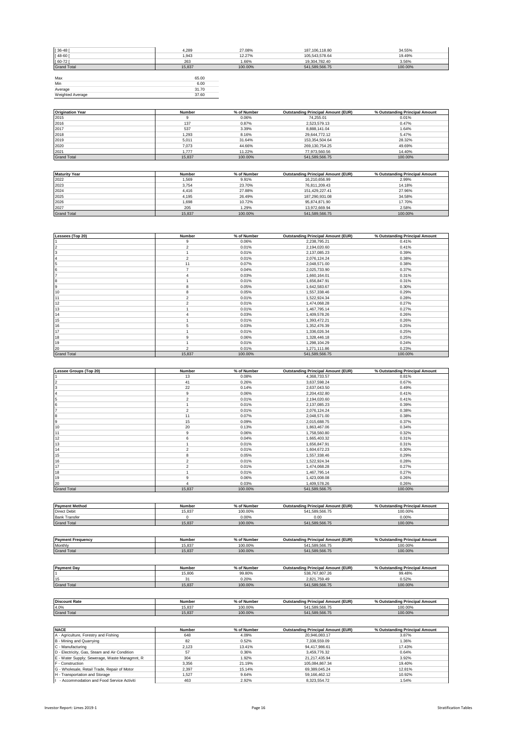| $[36 - 48]$        | 4,289  | 27.08%  | 187, 106, 118.80 | 34.55%  |
|--------------------|--------|---------|------------------|---------|
| $[48 - 60]$        | 1,943  | 12.27%  | 105,543,578.64   | 19.49%  |
| $[60 - 72]$        | 263    | 1.66%   | 19,304,782.40    | 3.56%   |
| <b>Grand Total</b> | 15,837 | 100.00% | 541,589,566.75   | 100.00% |
|                    |        |         |                  |         |
| Max                | 65.00  |         |                  |         |
| Min                | 6.00   |         |                  |         |
| Average            | 31.70  |         |                  |         |
| Weighted Average   | 37.60  |         |                  |         |

| <b>Origination Year</b> | Number | % of Number | <b>Outstanding Principal Amount (EUR)</b> | % Outstanding Principal Amount |
|-------------------------|--------|-------------|-------------------------------------------|--------------------------------|
| 2015                    |        | 0.06%       | 74.255.01                                 | 0.01%                          |
| 2016                    | 137    | 0.87%       | 2.523.579.13                              | 0.47%                          |
| 2017                    | 537    | 3.39%       | 8.888.141.04                              | 1.64%                          |
| 2018                    | 1.293  | 8.16%       | 29.644.772.12                             | 5.47%                          |
| 2019                    | 5.011  | 31.64%      | 153,354,504.64                            | 28.32%                         |
| 2020                    | 7.073  | 44.66%      | 269.130.754.25                            | 49.69%                         |
| 2021                    | 1.777  | 11.22%      | 77.973.560.56                             | 14.40%                         |
| <b>Grand Total</b>      | 15.837 | 100.00%     | 541.589.566.75                            | 100.00%                        |

| <b>Maturity Year</b> | Number | % of Number | <b>Outstanding Principal Amount (EUR)</b> | % Outstanding Principal Amount |
|----------------------|--------|-------------|-------------------------------------------|--------------------------------|
| 2022                 | .569   | 9.91%       | 16.210.656.99                             | 2.99%                          |
| 2023                 | 3.754  | 23.70%      | 76.811.209.43                             | 14.18%                         |
| 2024                 | 4.416  | 27.88%      | 151.429.227.41                            | 27.96%                         |
| 2025                 | 4.195  | 26.49%      | 187.290.931.08                            | 34.58%                         |
| 2026                 | 1.698  | 10.72%      | 95.874.871.90                             | 17.70%                         |
| 2027                 | 205    | 1.29%       | 13.972.669.94                             | 2.58%                          |
| <b>Grand Total</b>   | 15.837 | 100.00%     | 541.589.566.75                            | 100.00%                        |

| Lessees (Top 20)   | Number         | % of Number | <b>Outstanding Principal Amount (EUR)</b> | % Outstanding Principal Amount |
|--------------------|----------------|-------------|-------------------------------------------|--------------------------------|
|                    | 9              | 0.06%       | 2,238,795.21                              | 0.41%                          |
|                    | $\overline{2}$ | 0.01%       | 2,194,020.60                              | 0.41%                          |
| 3                  |                | 0.01%       | 2,137,085.23                              | 0.39%                          |
|                    | $\overline{2}$ | 0.01%       | 2,076,124.24                              | 0.38%                          |
| 5                  | 11             | 0.07%       | 2,048,571.00                              | 0.38%                          |
|                    |                | 0.04%       | 2,025,733.90                              | 0.37%                          |
|                    |                | 0.03%       | 1,660,164.01                              | 0.31%                          |
| 8                  |                | 0.01%       | 1,656,847.91                              | 0.31%                          |
| 9                  | 8              | 0.05%       | 1,642,583.67                              | 0.30%                          |
| 10                 | 8              | 0.05%       | 1,557,338.46                              | 0.29%                          |
| 11                 | $\overline{2}$ | 0.01%       | 1,522,924.34                              | 0.28%                          |
| 12                 | $\overline{2}$ | 0.01%       | 1,474,068.28                              | 0.27%                          |
| 13                 |                | 0.01%       | 1,467,795.14                              | 0.27%                          |
| 14                 | 4              | 0.03%       | 1,409,578.26                              | 0.26%                          |
| 15                 |                | 0.01%       | 1,393,472.21                              | 0.26%                          |
| 16                 |                | 0.03%       | 1,352,476.39                              | 0.25%                          |
| 17                 |                | 0.01%       | 1,336,026.34                              | 0.25%                          |
| 18                 | 9              | 0.06%       | 1,328,446.18                              | 0.25%                          |
| 19                 |                | 0.01%       | 1,298,104.29                              | 0.24%                          |
| 20                 | $\overline{2}$ | 0.01%       | 1,271,111.86                              | 0.23%                          |
| <b>Grand Total</b> | 15,837         | 100.00%     | 541,589,566.75                            | 100.00%                        |

| Lessee Groups (Top 20) | Number         | % of Number | <b>Outstanding Principal Amount (EUR)</b> | % Outstanding Principal Amount |
|------------------------|----------------|-------------|-------------------------------------------|--------------------------------|
|                        | 13             | 0.08%       | 4,368,733.57                              | 0.81%                          |
|                        | 41             | 0.26%       | 3,637,598.24                              | 0.67%                          |
| з                      | 22             | 0.14%       | 2,637,043.50                              | 0.49%                          |
|                        | 9              | 0.06%       | 2,204,432.80                              | 0.41%                          |
| 5                      | $\overline{2}$ | 0.01%       | 2,194,020.60                              | 0.41%                          |
| n                      |                | 0.01%       | 2,137,085.23                              | 0.39%                          |
|                        | $\overline{2}$ | 0.01%       | 2,076,124.24                              | 0.38%                          |
| 8                      | 11             | 0.07%       | 2,048,571.00                              | 0.38%                          |
| 9                      | 15             | 0.09%       | 2,015,688.75                              | 0.37%                          |
| 10                     | 20             | 0.13%       | 1,863,467.06                              | 0.34%                          |
| 11                     | 9              | 0.06%       | 1,758,560.80                              | 0.32%                          |
| 12                     | 6              | 0.04%       | 1,665,403.32                              | 0.31%                          |
| 13                     |                | 0.01%       | 1,656,847.91                              | 0.31%                          |
| 14                     | $\overline{2}$ | 0.01%       | 1,604,672.23                              | 0.30%                          |
| 15                     | 8              | 0.05%       | 1,557,338.46                              | 0.29%                          |
| 16                     | $\overline{2}$ | 0.01%       | 1,522,924.34                              | 0.28%                          |
| 17                     | $\overline{2}$ | 0.01%       | 1,474,068.28                              | 0.27%                          |
| 18                     |                | 0.01%       | 1,467,795.14                              | 0.27%                          |
| 19                     | 9              | 0.06%       | 1,423,008.08                              | 0.26%                          |
| 20                     |                | 0.03%       | 1,409,578.26                              | 0.26%                          |
| <b>Grand Total</b>     | 15,837         | 100.00%     | 541,589,566.75                            | 100.00%                        |

| <b>Payment Method</b>    | Number | % of Number | <b>Outstanding Principal Amount (EUR)</b> | % Outstanding Principal Amount |
|--------------------------|--------|-------------|-------------------------------------------|--------------------------------|
| <b>Direct Debit</b>      | 15.837 | 100.00%     | 541.589.566.75                            | 100.00%                        |
| <b>Bank Transfer</b>     |        | $0.00\%$    | 0.00                                      | 0.00%                          |
| <b>Grand Total</b>       | 15.837 | 100.00%     | 541.589.566.75                            | 100.00%                        |
|                          |        |             |                                           |                                |
|                          |        |             |                                           |                                |
| <b>Payment Frequency</b> | Number | % of Number | <b>Outstanding Principal Amount (EUR)</b> | % Outstanding Principal Amount |
| Monthly                  | 15.837 | 100.00%     | 541.589.566.75                            | 100.00%                        |
| <b>Grand Total</b>       | 15,837 | 100.00%     | 541.589.566.75                            | 100.00%                        |
|                          |        |             |                                           |                                |
| <b>Payment Day</b>       | Number | % of Number | <b>Outstanding Principal Amount (EUR)</b> | % Outstanding Principal Amount |

|                      | 15.806 | 99.80%      | 538.767.807.26                            | 99.48%                         |
|----------------------|--------|-------------|-------------------------------------------|--------------------------------|
| 15                   | 24     | 0.20%       | 2.821.759.49                              | 0.52%                          |
| <b>Grand Total</b>   | 15,837 | 100.00%     | 541.589.566.75                            | 100.00%                        |
|                      |        |             |                                           |                                |
|                      |        |             |                                           |                                |
|                      |        |             |                                           |                                |
| <b>Discount Rate</b> | Number | % of Number | <b>Outstanding Principal Amount (EUR)</b> | % Outstanding Principal Amount |
| 4.0%                 | 15.837 | 100.00%     | 541.589.566.75                            | 100.00%                        |

| <b>NACE</b>                                   | <b>Number</b> | % of Number | <b>Outstanding Principal Amount (EUR)</b> | % Outstanding Principal Amount |
|-----------------------------------------------|---------------|-------------|-------------------------------------------|--------------------------------|
| A - Agriculture, Forestry and Fishing         | 648           | 4.09%       | 20.946.083.17                             | 3.87%                          |
| B - Mining and Quarrying                      | 82            | 0.52%       | 7.338.559.09                              | 1.36%                          |
| C - Manufacturing                             | 2.123         | 13.41%      | 94,417,986.61                             | 17.43%                         |
| D - Electricity, Gas, Steam and Air Condition | 57            | 0.36%       | 3.459.776.32                              | 0.64%                          |
| E - Water Supply; Sewerage, Waste Managmnt, R | 304           | 1.92%       | 21.217.435.94                             | 3.92%                          |
| F - Construction                              | 3.356         | 21.19%      | 105.084.867.34                            | 19.40%                         |
| G - Wholesale, Retail Trade, Repair of Motor  | 2.397         | 15.14%      | 69.389.045.24                             | 12.81%                         |
| H - Transportation and Storage                | 1.527         | 9.64%       | 59.166.462.12                             | 10.92%                         |
| - Accommodation and Food Service Activiti     | 463           | 2.92%       | 8.323.554.72                              | 1.54%                          |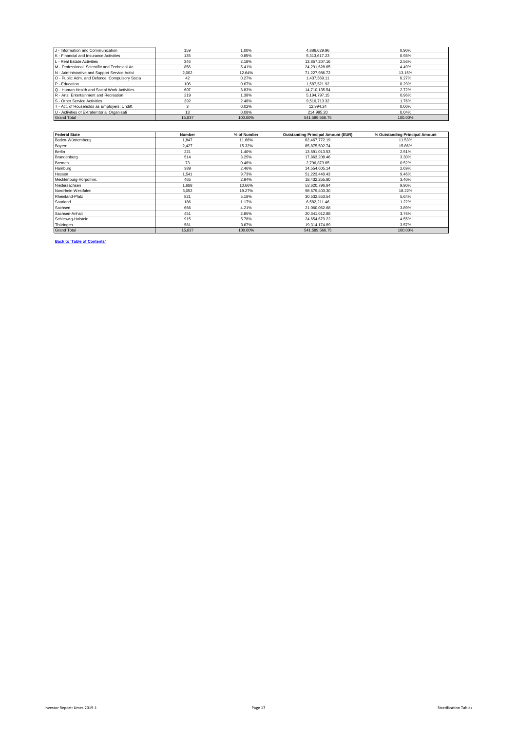| J - Information and Communication             | 159    | 1.00%   | 4.886.629.96   | 0.90%   |
|-----------------------------------------------|--------|---------|----------------|---------|
| K - Financial and Insurance Activities        | 135    | 0.85%   | 5.313.617.23   | 0.98%   |
| L - Real Estate Activities                    | 346    | 2.18%   | 13.857.207.16  | 2.56%   |
| M - Professional, Scientific and Technical Ac | 856    | 5.41%   | 24.291.628.65  | 4.49%   |
| N - Administrative and Support Service Activi | 2.002  | 12.64%  | 71.227.986.72  | 13.15%  |
| O - Public Adm. and Defence; Compulsory Socia | 42     | 0.27%   | 1.437.569.11   | 0.27%   |
| P - Education                                 | 106    | 0.67%   | 1.587.521.92   | 0.29%   |
| Q - Human Health and Social Work Activities   | 607    | 3.83%   | 14.710.135.54  | 2.72%   |
| R - Arts. Entertainment and Recreation        | 219    | 1.38%   | 5.194.797.15   | 0.96%   |
| S - Other Service Activities                  | 392    | 2.48%   | 9.510.713.32   | 1.76%   |
| T - Act. of Households as Employers; Undiff.  |        | 0.02%   | 12.994.24      | 0.00%   |
| U - Activities of Extraterritorial Organisati | 13     | 0.08%   | 214.995.20     | 0.04%   |
| <b>Grand Total</b>                            | 15.837 | 100.00% | 541.589.566.75 | 100.00% |

| <b>Federal State</b> | Number | % of Number | <b>Outstanding Principal Amount (EUR)</b> | % Outstanding Principal Amount |
|----------------------|--------|-------------|-------------------------------------------|--------------------------------|
| Baden-Württemberg    | 1.847  | 11.66%      | 62,467,772.19                             | 11.53%                         |
| Bayern               | 2.427  | 15.32%      | 85,875,502.74                             | 15.86%                         |
| Berlin               | 221    | 1.40%       | 13,591,013.53                             | 2.51%                          |
| Brandenburg          | 514    | 3.25%       | 17,863,208,46                             | 3.30%                          |
| Bremen               | 73     | 0.46%       | 2.796.873.65                              | 0.52%                          |
| Hamburg              | 389    | 2.46%       | 14.554.605.14                             | 2.69%                          |
| Hessen               | 1,541  | 9.73%       | 51.223.440.43                             | 9.46%                          |
| Mecklenburg-Vorpomm. | 465    | 2.94%       | 18,432,255.80                             | 3.40%                          |
| Niedersachsen        | 1.688  | 10.66%      | 53,620,796.84                             | 9.90%                          |
| Nordrhein-Westfalen  | 3.052  | 19.27%      | 98,679,403.30                             | 18.22%                         |
| Rheinland-Pfalz      | 821    | 5.18%       | 30,532,553.54                             | 5.64%                          |
| Saarland             | 186    | 1.17%       | 6,582,211.46                              | 1.22%                          |
| Sachsen              | 666    | 4.21%       | 21,060,062.68                             | 3.89%                          |
| Sachsen-Anhalt       | 451    | 2.85%       | 20,341,012.88                             | 3.76%                          |
| Schleswig-Holstein   | 915    | 5.78%       | 24,654,679.22                             | 4.55%                          |
| Thüringen            | 581    | 3.67%       | 19,314,174.89                             | 3.57%                          |
| <b>Grand Total</b>   | 15,837 | 100.00%     | 541,589,566.75                            | 100.00%                        |